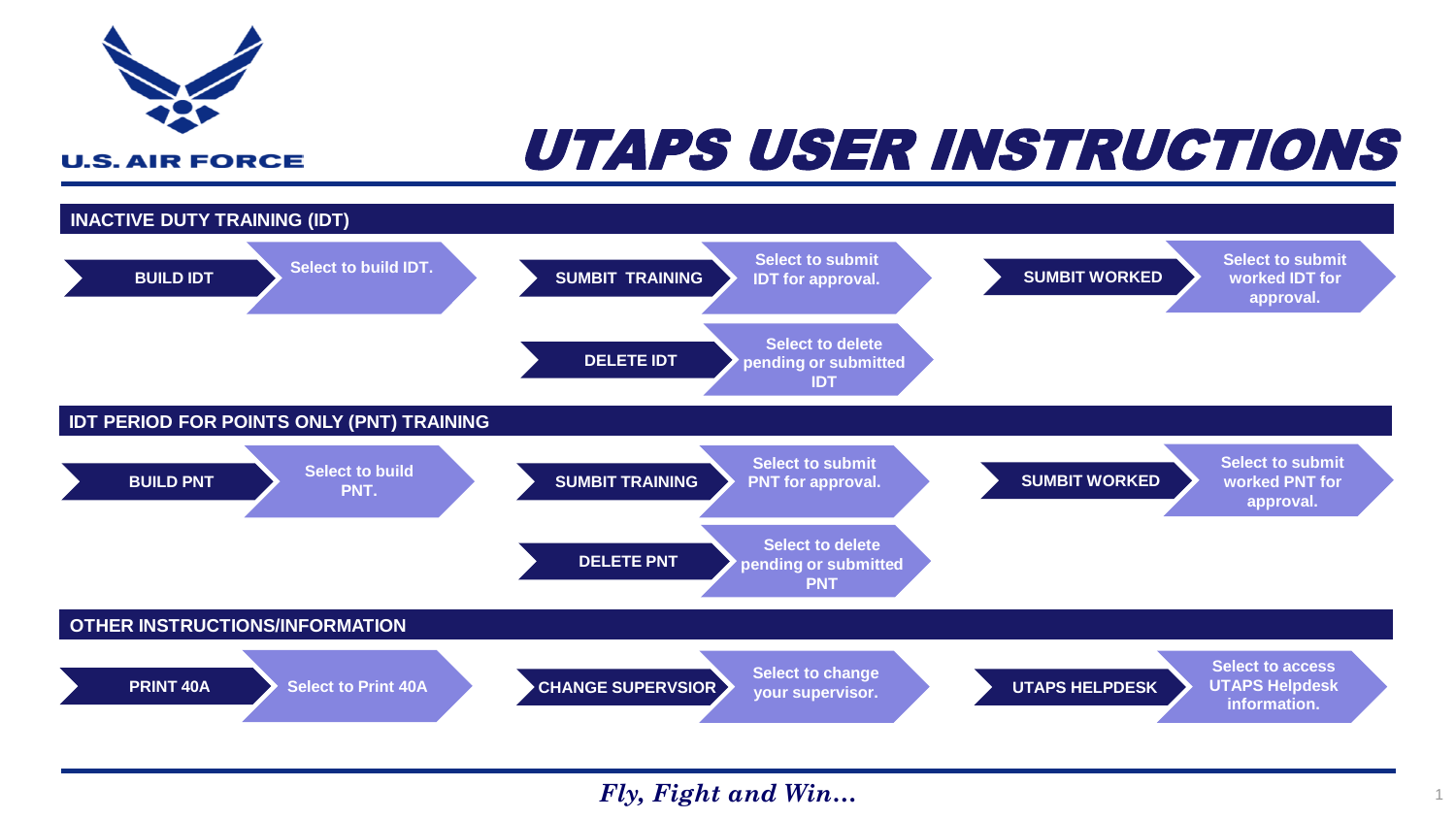<span id="page-0-0"></span>

# UTAPS USER INSTRUCTIONS

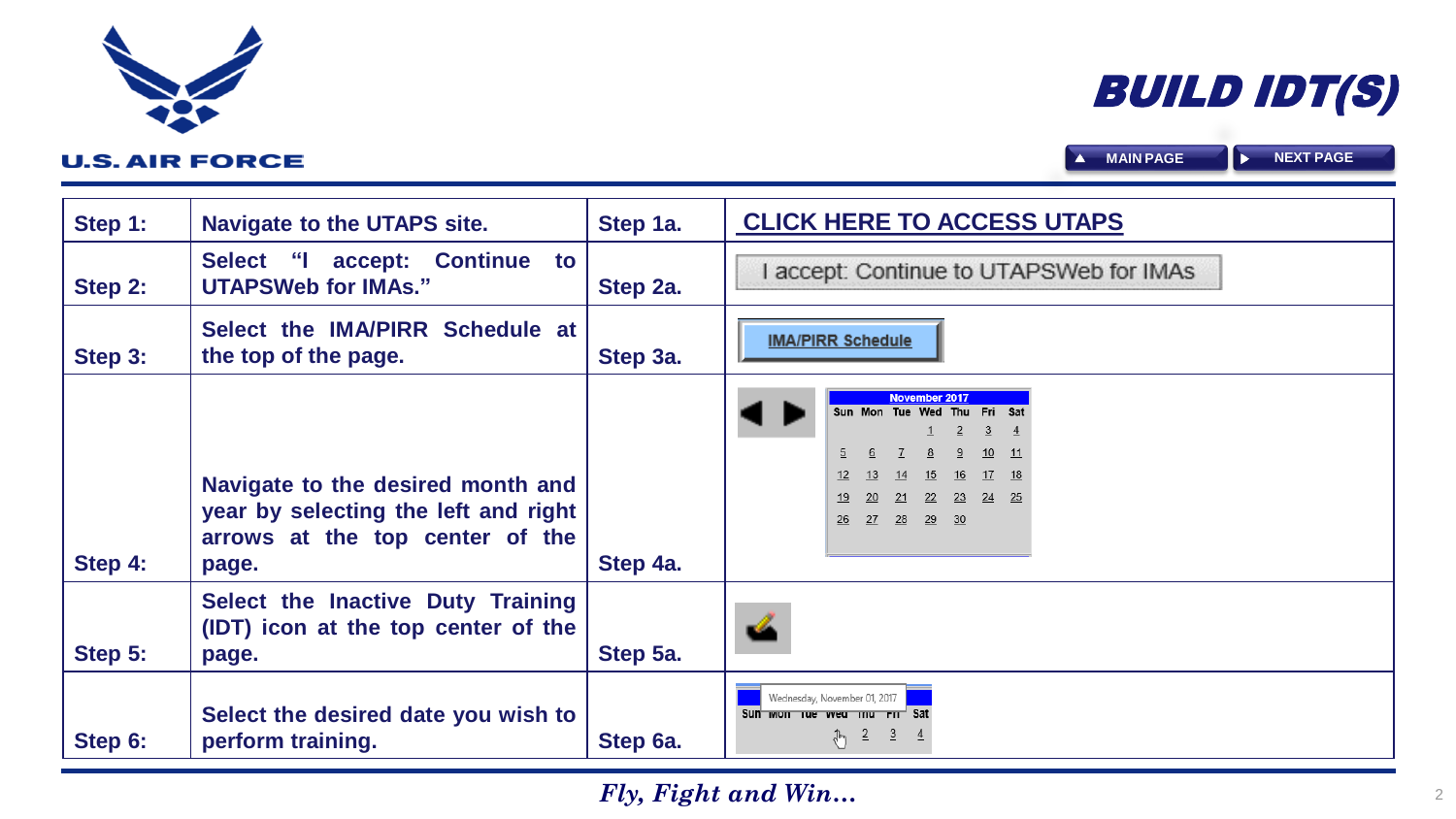| Step 1: | <b>Navigate to the UTAPS site.</b>                                                                                    | Step 1a. | <b>CLICK HERE TO ACCESS UTAPS</b>                                                                                                                                                        |
|---------|-----------------------------------------------------------------------------------------------------------------------|----------|------------------------------------------------------------------------------------------------------------------------------------------------------------------------------------------|
| Step 2: | accept: Continue to<br>Select "I<br><b>UTAPSWeb for IMAs."</b>                                                        | Step 2a. | accept: Continue to UTAPSWeb for IMAs                                                                                                                                                    |
| Step 3: | Select the IMA/PIRR Schedule at<br>the top of the page.                                                               | Step 3a. | <b>IMA/PIRR Schedule</b>                                                                                                                                                                 |
| Step 4: | Navigate to the desired month and<br>year by selecting the left and right<br>arrows at the top center of the<br>page. | Step 4a. | November 2017<br>Sun Mon Tue Wed Thu<br>Fri<br>$\overline{2}$<br>3<br>$\overline{4}$<br>10<br>$-11$<br>17<br>13<br>14<br>15<br>16<br>18<br>24 25<br>23<br>-21<br>22<br>26 27 28<br>29 30 |
| Step 5: | Select the Inactive Duty Training<br>(IDT) icon at the top center of the<br>page.                                     | Step 5a. |                                                                                                                                                                                          |
| Step 6: | Select the desired date you wish to<br>perform training.                                                              | Step 6a. | Wednesday, November 01, 2017<br>Sun mon rue vveu mu rn Sat<br>$\frac{1}{\sqrt[3]{2}}$ $\frac{3}{2}$ $\frac{4}{2}$                                                                        |

<span id="page-1-0"></span>

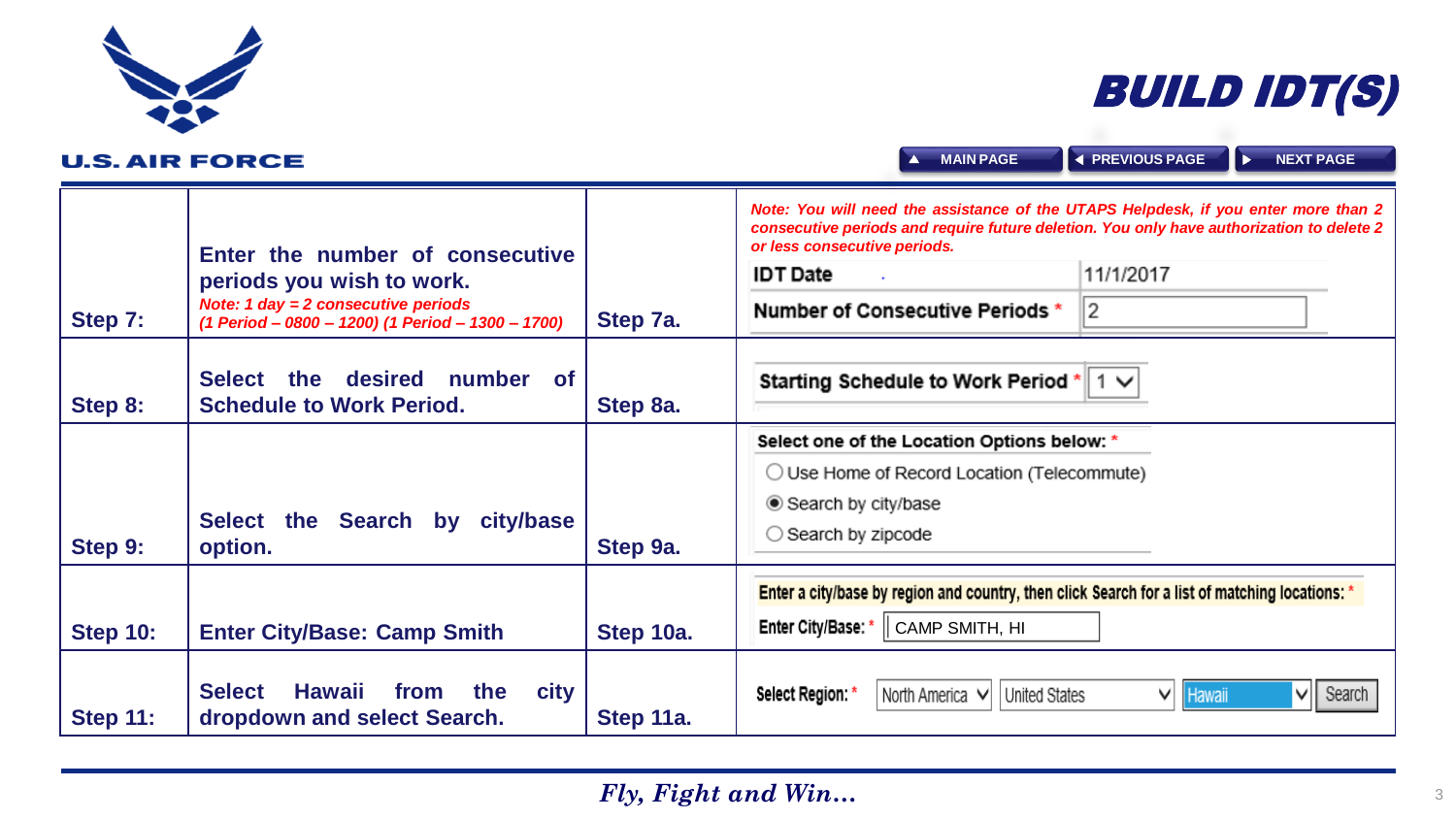<span id="page-2-0"></span>

# BUILD IDT(S)

| <b>U.S. AIR FORCE</b> |                                                                                                                                                            |           | <b>MAIN PAGE</b><br>$\overline{\phantom{a}}$                                                                                                                                                                                                                                | <b>EXPREVIOUS PAGE</b><br><b>NEXT PAGE</b><br>∣∑ |
|-----------------------|------------------------------------------------------------------------------------------------------------------------------------------------------------|-----------|-----------------------------------------------------------------------------------------------------------------------------------------------------------------------------------------------------------------------------------------------------------------------------|--------------------------------------------------|
| Step 7:               | Enter the number of consecutive<br>periods you wish to work.<br>Note: 1 day = $2$ consecutive periods<br>(1 Period - 0800 - 1200) (1 Period - 1300 - 1700) | Step 7a.  | Note: You will need the assistance of the UTAPS Helpdesk, if you enter more than 2<br>consecutive periods and require future deletion. You only have authorization to delete 2<br>or less consecutive periods.<br><b>IDT Date</b><br><b>Number of Consecutive Periods *</b> | 11/1/2017<br>2                                   |
| Step 8:               | the desired<br>number of<br><b>Select</b><br><b>Schedule to Work Period.</b>                                                                               | Step 8a.  | Starting Schedule to Work Period *                                                                                                                                                                                                                                          | ∣1 ∨                                             |
| Step 9:               | Select the Search by city/base<br>option.                                                                                                                  | Step 9a.  | Select one of the Location Options below: *<br>◯ Use Home of Record Location (Telecommute)<br>● Search by city/base<br>$\bigcirc$ Search by zipcode                                                                                                                         |                                                  |
| <b>Step 10:</b>       | <b>Enter City/Base: Camp Smith</b>                                                                                                                         | Step 10a. | Enter a city/base by region and country, then click Search for a list of matching locations: *<br>Enter City/Base: *   CAMP SMITH, HI                                                                                                                                       |                                                  |
| <b>Step 11:</b>       | Hawaii<br><b>Select</b><br>from<br>the<br>city<br>dropdown and select Search.                                                                              | Step 11a. | Select Region: *<br>United States<br>North America V                                                                                                                                                                                                                        | $\vee$    Search<br>∨∣<br><b>Hawaii</b>          |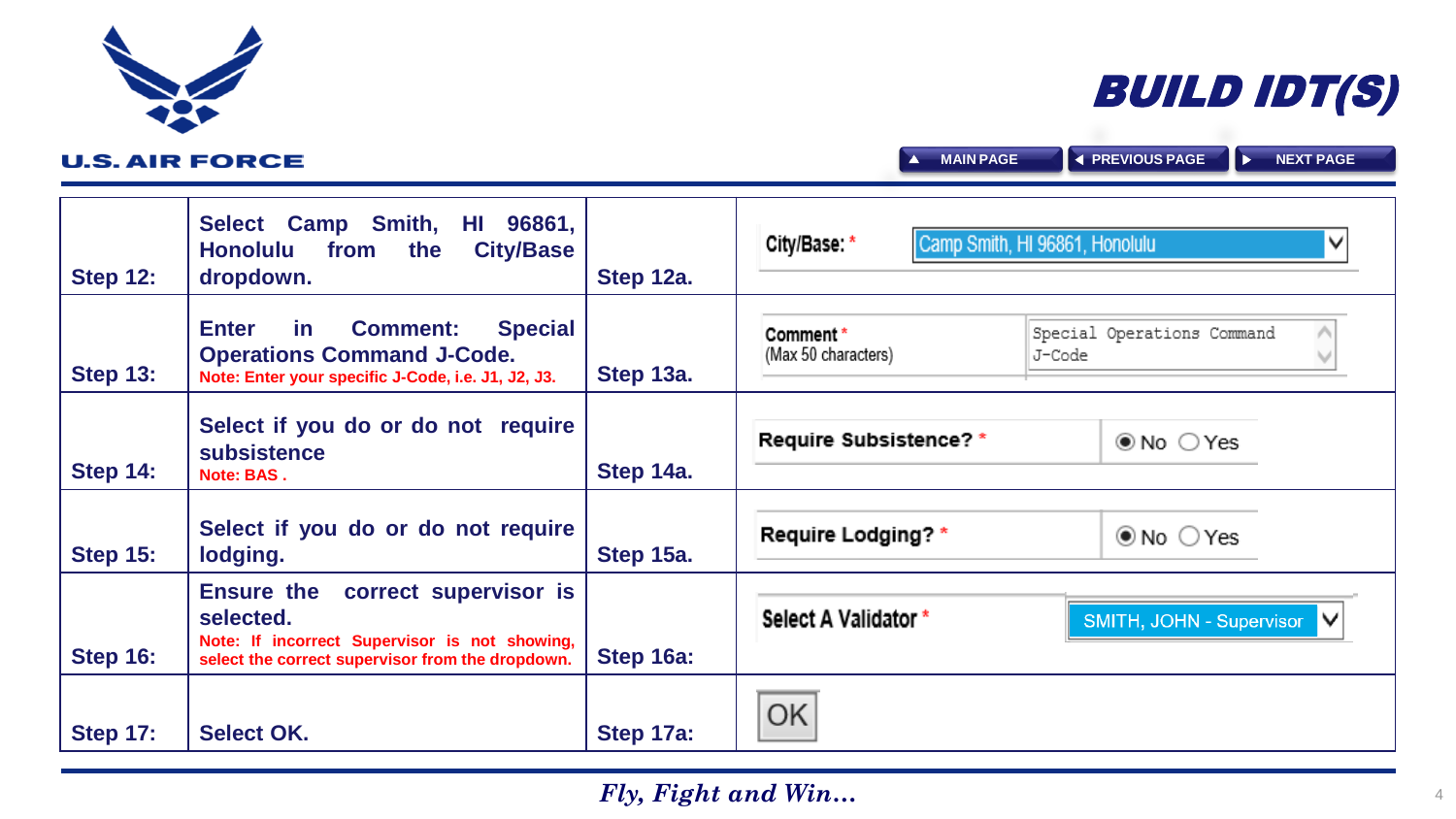| <b>Step 12:</b> | 96861,<br>Camp Smith,<br><b>Select</b><br>HI<br><b>City/Base</b><br><b>Honolulu</b><br>the<br>from<br>dropdown.                                           | Step 12a. | City/Base: *                    | Camp Smith, HI 96861, Honolulu       |
|-----------------|-----------------------------------------------------------------------------------------------------------------------------------------------------------|-----------|---------------------------------|--------------------------------------|
| <b>Step 13:</b> | <b>Enter</b><br><b>Special</b><br><b>Comment:</b><br><u>in</u><br><b>Operations Command J-Code.</b><br>Note: Enter your specific J-Code, i.e. J1, J2, J3. | Step 13a. | Comment*<br>(Max 50 characters) | Special Operations Command<br>J-Code |
| <b>Step 14:</b> | Select if you do or do not require<br>subsistence<br>Note: BAS.                                                                                           | Step 14a. | <b>Require Subsistence?*</b>    | $\odot$ No $\odot$ Yes               |
| <b>Step 15:</b> | Select if you do or do not require<br>lodging.                                                                                                            | Step 15a. | Require Lodging? *              | $\odot$ No $\odot$ Yes               |
| <b>Step 16:</b> | Ensure the correct supervisor is<br>selected.<br>Note: If incorrect Supervisor is not showing,<br>select the correct supervisor from the dropdown.        | Step 16a: | Select A Validator *            | SMITH, JOHN - Supervisor V           |
| <b>Step 17:</b> | <b>Select OK.</b>                                                                                                                                         | Step 17a: | OK                              |                                      |

# BUILD IDT(S)

**A** [MAIN PAGE](#page-0-0) **A** [PREVIOUS PAGE](#page-2-0) **A** [NEXT PAGE](#page-4-0)

<span id="page-3-0"></span>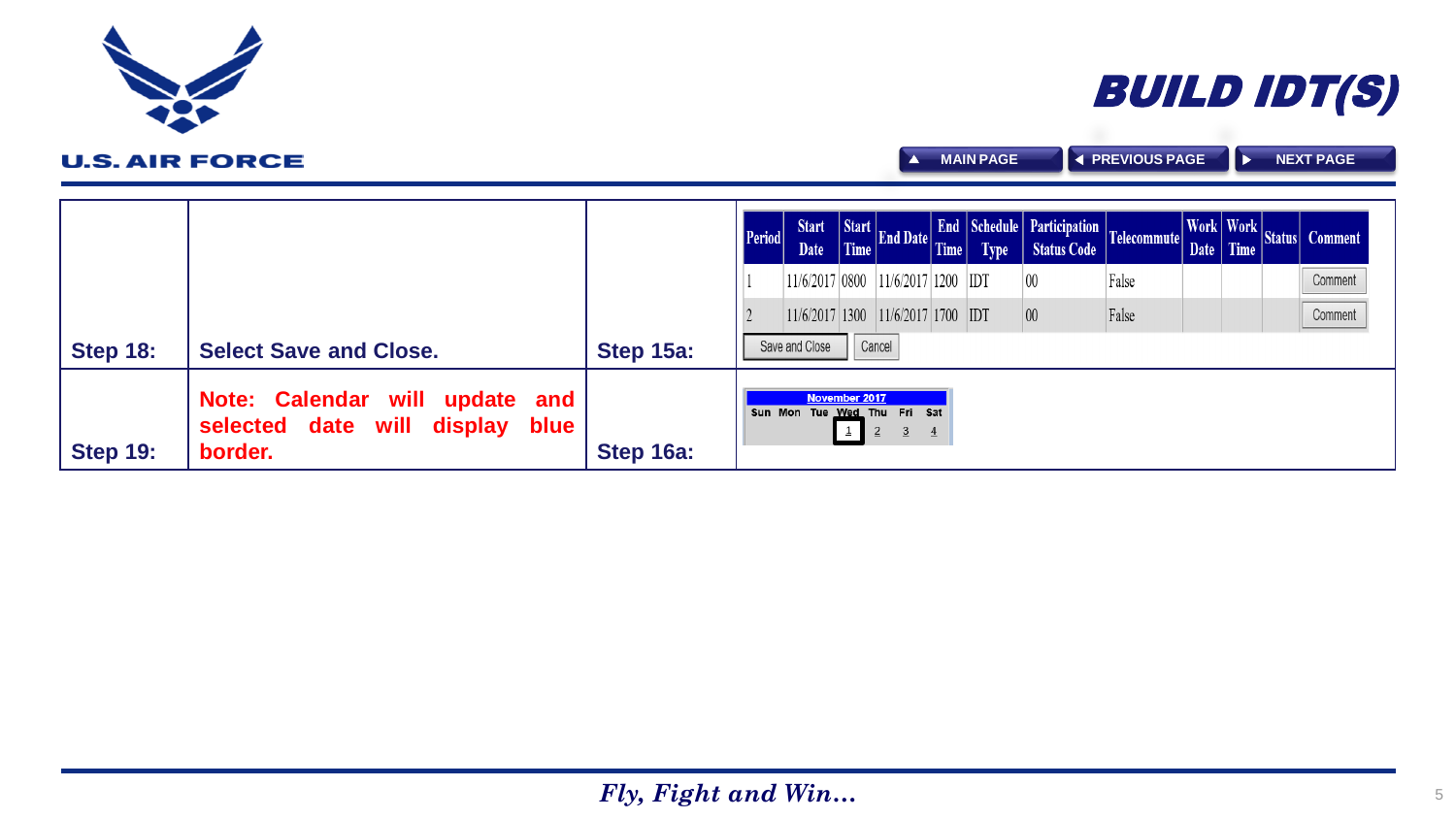|                 |                                                                                             |           | <b>Period</b> |                |               |                                                                 |                | <b>Type</b> | Start Start Time End Date Time Schedule Participation Telecommute Work Work |       |  | Work Work Status Comment |
|-----------------|---------------------------------------------------------------------------------------------|-----------|---------------|----------------|---------------|-----------------------------------------------------------------|----------------|-------------|-----------------------------------------------------------------------------|-------|--|--------------------------|
|                 |                                                                                             |           |               |                |               | 11/6/2017 0800 11/6/2017 1200 1DT                               |                |             | $ 00\rangle$                                                                | False |  | Comment                  |
|                 |                                                                                             |           |               |                |               | $ 11/6/2017 1300$ $ 11/6/2017 1700$ IDT                         |                |             | $\overline{00}$                                                             | False |  | Comment                  |
| <b>Step 18:</b> | <b>Select Save and Close.</b>                                                               | Step 15a: |               | Save and Close |               | Cancel                                                          |                |             |                                                                             |       |  |                          |
| <b>Step 19:</b> | Note: Calendar will<br>update<br>and<br>date will<br>display<br>selected<br>blue<br>border. | Step 16a: |               |                | November 2017 | Sun Mon Tue Wed Thu Fri Sat<br>$\overline{2}$<br>$\overline{3}$ | $\overline{4}$ |             |                                                                             |       |  |                          |

<span id="page-4-0"></span>



**A** [MAIN PAGE](#page-0-0) **A** [PREVIOUS PAGE](#page-3-0) **A** [NEXT PAGE](#page-5-0)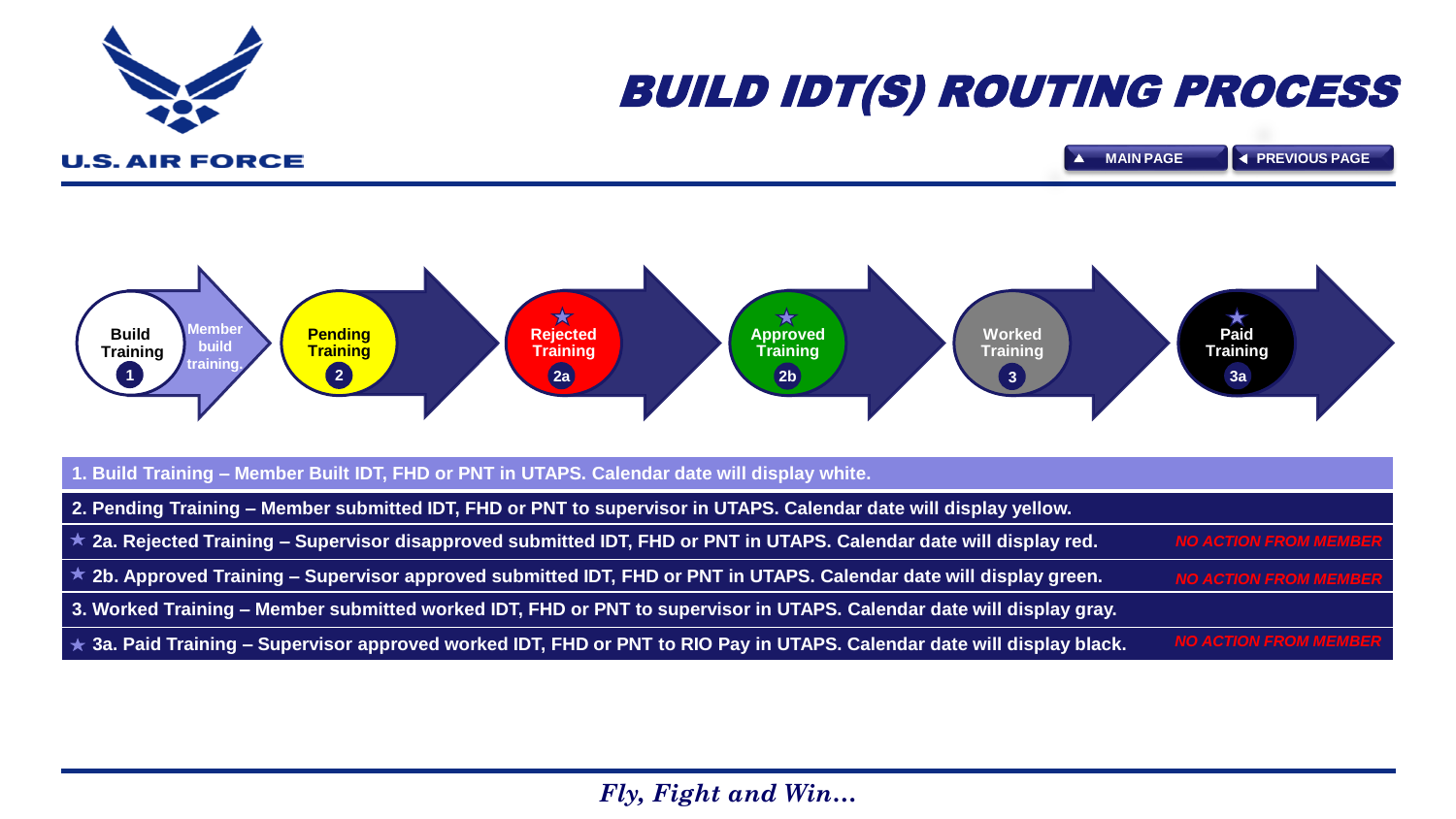<span id="page-5-0"></span>

# BUILD IDT(S) ROUTING PROCESS

**U.S. AIR FORCE** 

**[MAIN PAGE](#page-0-0) [PREVIOUS PAGE](#page-4-0)** $\overline{\phantom{a}}$ 

*NO ACTION FROM MEMBER*

*I MEM* 



| 1. Build Training - Member Built IDT, FHD or PNT in UTAPS. Calendar date will display white.                               |                    |
|----------------------------------------------------------------------------------------------------------------------------|--------------------|
| 2. Pending Training – Member submitted IDT, FHD or PNT to supervisor in UTAPS. Calendar date will display yellow.          |                    |
| $\star$ 2a. Rejected Training – Supervisor disapproved submitted IDT, FHD or PNT in UTAPS. Calendar date will display red. | <b>NO ACTION F</b> |
| $\star$ 2b. Approved Training – Supervisor approved submitted IDT, FHD or PNT in UTAPS. Calendar date will display green.  | <b>NO ACTION F</b> |
| 3. Worked Training - Member submitted worked IDT, FHD or PNT to supervisor in UTAPS. Calendar date will display gray.      |                    |

**3a. Paid Training – Supervisor approved worked IDT, FHD or PNT to RIO Pay in UTAPS. Calendar date will display black.**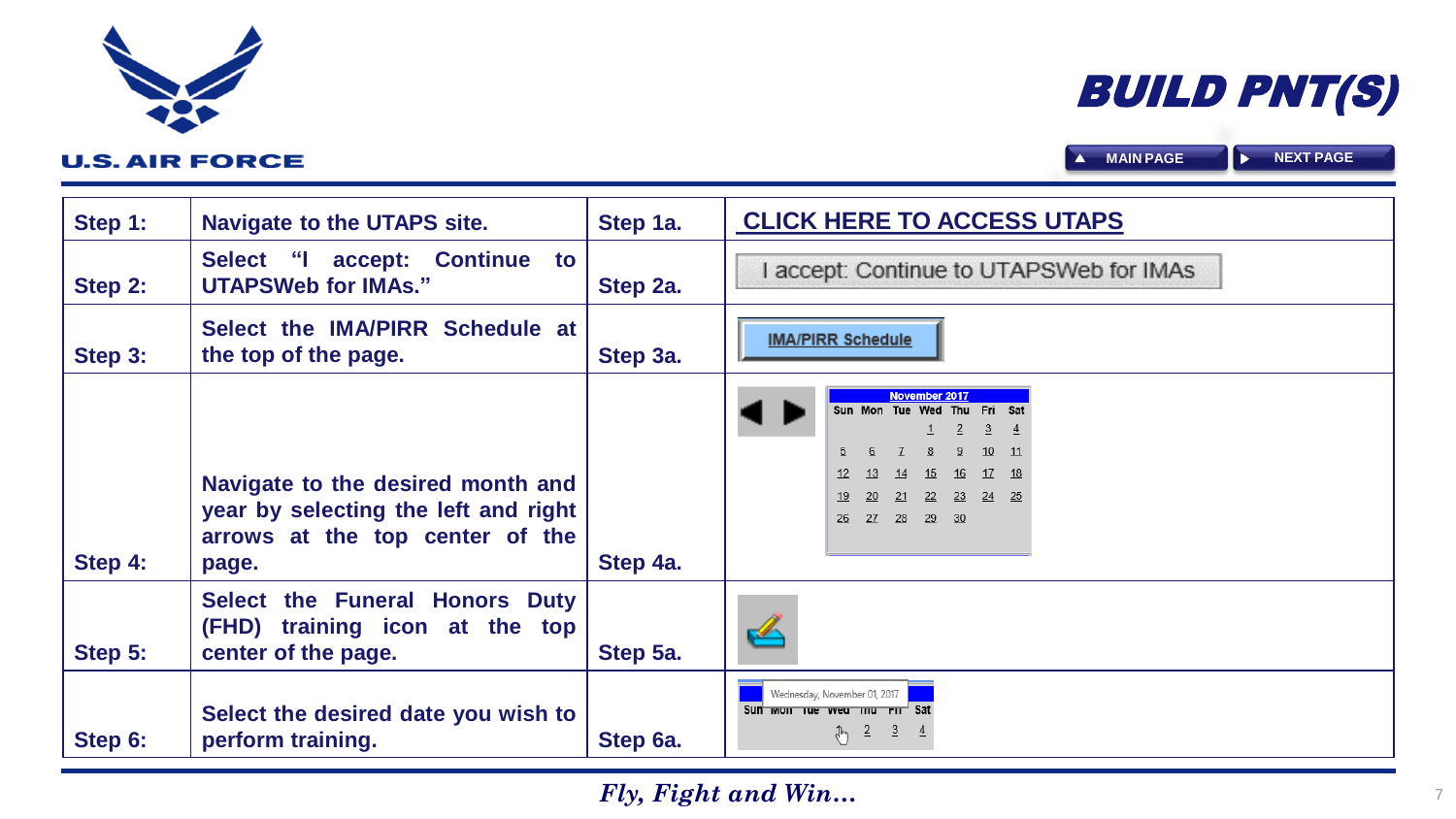| Step 1: | <b>Navigate to the UTAPS site.</b>                                                                                    | Step 1a. | <b>CLICK HERE TO ACCESS UTAPS</b>                                                                                                                                                                            |
|---------|-----------------------------------------------------------------------------------------------------------------------|----------|--------------------------------------------------------------------------------------------------------------------------------------------------------------------------------------------------------------|
| Step 2: | accept: Continue to<br>Select "I<br><b>UTAPSWeb for IMAs."</b>                                                        | Step 2a. | accept: Continue to UTAPSWeb for IMAs                                                                                                                                                                        |
| Step 3: | Select the IMA/PIRR Schedule at<br>the top of the page.                                                               | Step 3a. | <b>IMA/PIRR Schedule</b>                                                                                                                                                                                     |
| Step 4: | Navigate to the desired month and<br>year by selecting the left and right<br>arrows at the top center of the<br>page. | Step 4a. | <b>November 2017</b><br>Sun Mon Tue Wed<br>Thu<br><b>Fri</b><br>$\overline{2}$<br>3<br>$\mathbf{1}$<br>4<br>10<br>$-11$<br>$15 \t 16$<br>17 18<br>13<br>23 24 25<br>20<br>22<br>- 21<br>27  28  29  30<br>26 |
| Step 5: | Select the Funeral Honors Duty<br>(FHD) training icon at the top<br>center of the page.                               | Step 5a. | ⇙                                                                                                                                                                                                            |
| Step 6: | Select the desired date you wish to<br>perform training.                                                              | Step 6a. | Wednesday, November 01, 2017<br>Sun won us wed mu rm <sup>-1</sup> Sat<br>$\frac{1}{\sqrt[3]{2}}$ $\frac{3}{2}$ $\frac{4}{2}$                                                                                |

<span id="page-6-0"></span>

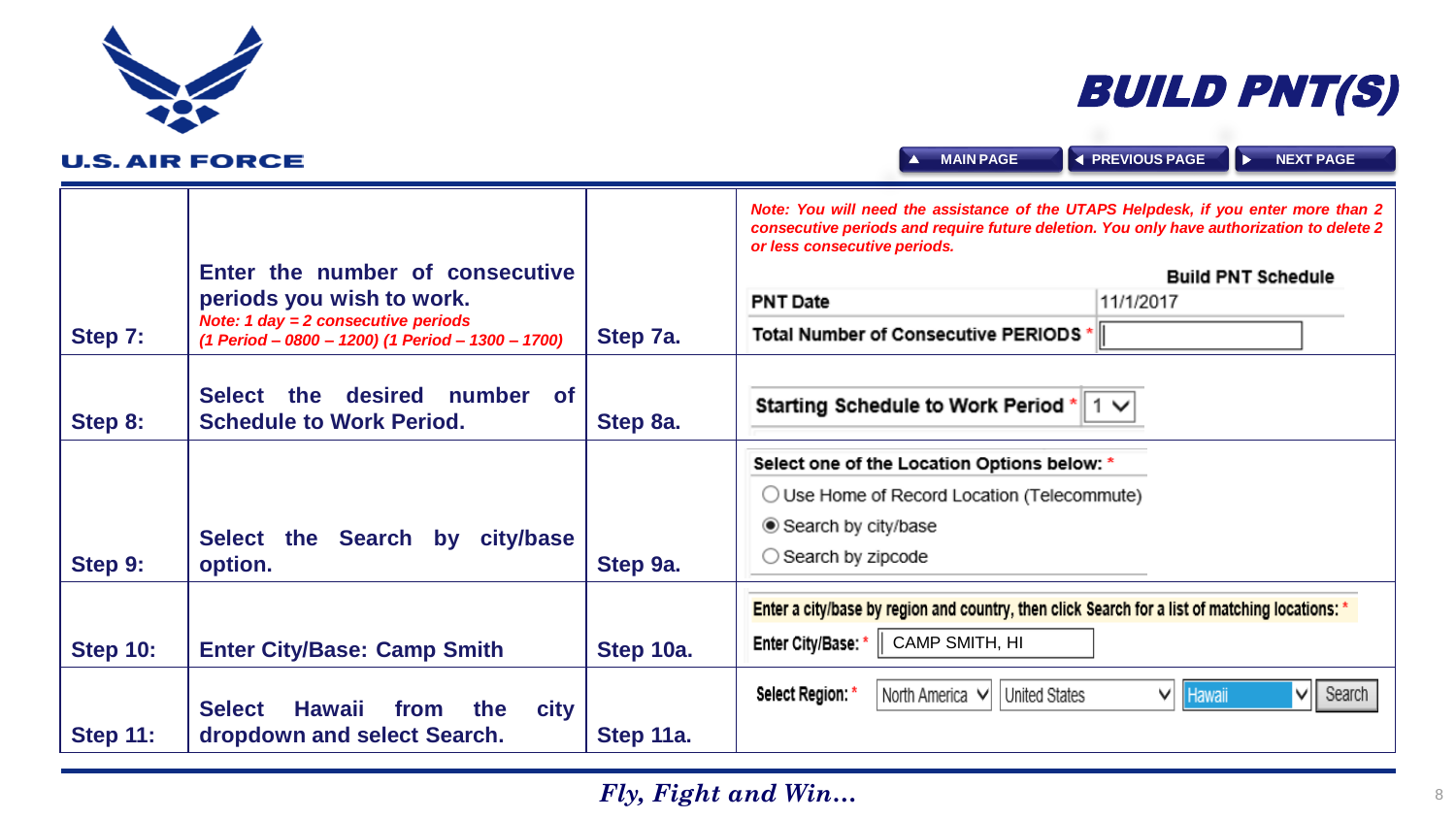# BUILD PNT(S)

<span id="page-7-0"></span>

| <b>U.S. AIR FORCE</b> |                                                                                                                                                            |           | <b>EXPREVIOUS PAGE</b><br><b>NEXT PAGE</b><br><b>MAIN PAGE</b><br>$\overline{\phantom{a}}$                                                                                                                                                                                                                           |
|-----------------------|------------------------------------------------------------------------------------------------------------------------------------------------------------|-----------|----------------------------------------------------------------------------------------------------------------------------------------------------------------------------------------------------------------------------------------------------------------------------------------------------------------------|
| Step 7:               | Enter the number of consecutive<br>periods you wish to work.<br>Note: 1 day = $2$ consecutive periods<br>(1 Period - 0800 - 1200) (1 Period - 1300 - 1700) | Step 7a.  | Note: You will need the assistance of the UTAPS Helpdesk, if you enter more than 2<br>consecutive periods and require future deletion. You only have authorization to delete 2<br>or less consecutive periods.<br><b>Build PNT Schedule</b><br><b>PNT Date</b><br>11/1/2017<br>Total Number of Consecutive PERIODS * |
| Step 8:               | Select<br>the desired number of<br><b>Schedule to Work Period.</b>                                                                                         | Step 8a.  | Starting Schedule to Work Period $^*$ 1 $\vee$                                                                                                                                                                                                                                                                       |
| Step 9:               | Select the Search by city/base<br>option.                                                                                                                  | Step 9a.  | Select one of the Location Options below: *<br>$\bigcirc$ Use Home of Record Location (Telecommute)<br>● Search by city/base<br>$\bigcirc$ Search by zipcode                                                                                                                                                         |
| <b>Step 10:</b>       | <b>Enter City/Base: Camp Smith</b>                                                                                                                         | Step 10a. | Enter a city/base by region and country, then click Search for a list of matching locations: *<br>CAMP SMITH, HI<br>Enter City/Base: *                                                                                                                                                                               |
| <b>Step 11:</b>       | Hawaii<br>the<br><b>Select</b><br>from<br><b>city</b><br>dropdown and select Search.                                                                       | Step 11a. | $\vee$    Search<br>Select Region *<br>North America $\vee$<br>United States<br><b>Hawaii</b><br>∨∣                                                                                                                                                                                                                  |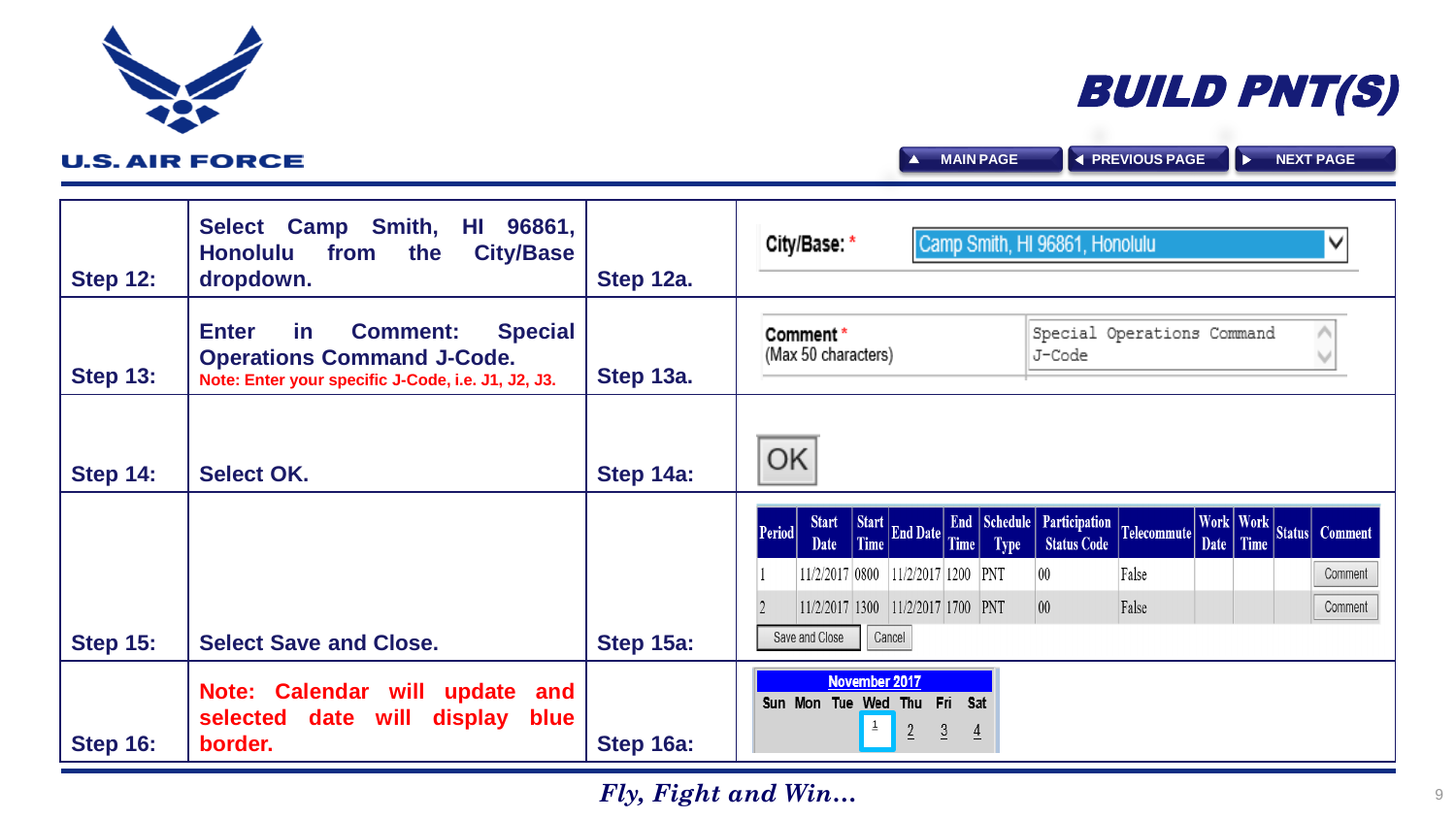<span id="page-8-0"></span>

| <b>Step 12:</b> | Select Camp Smith, HI 96861,<br><b>Honolulu</b><br><b>City/Base</b><br>the<br>from<br>dropdown.                                                           | Step 12a. | Camp Smith, HI 96861, Honolulu<br>City/Base: *<br>v                                                                                                                                                                                                                              |
|-----------------|-----------------------------------------------------------------------------------------------------------------------------------------------------------|-----------|----------------------------------------------------------------------------------------------------------------------------------------------------------------------------------------------------------------------------------------------------------------------------------|
| <b>Step 13:</b> | <b>Special</b><br><b>Enter</b><br><u>in</u><br><b>Comment:</b><br><b>Operations Command J-Code.</b><br>Note: Enter your specific J-Code, i.e. J1, J2, J3. | Step 13a. | Special Operations Command<br>Comment *<br>(Max 50 characters)<br>J-Code                                                                                                                                                                                                         |
| <b>Step 14:</b> | <b>Select OK.</b>                                                                                                                                         | Step 14a: | ΟK                                                                                                                                                                                                                                                                               |
|                 |                                                                                                                                                           |           | End Schedule Participation Telecommute<br>Work   Work  <br>Start End Date Time<br><b>Start</b><br><b>Period</b><br>Status Comment<br>Date   Time<br><b>Status Code</b><br><b>Type</b><br>Date<br>11/2/2017 0800<br>$ 11/2/2017 1200 $ PNT<br>$\overline{00}$<br>False<br>Comment |
|                 |                                                                                                                                                           |           | $11/2/2017$ 1300 11/2/2017 1700 PNT<br>00 <sup>1</sup><br>False<br>Comment<br>Save and Close<br>Cancel                                                                                                                                                                           |
| <b>Step 15:</b> | <b>Select Save and Close.</b>                                                                                                                             | Step 15a: |                                                                                                                                                                                                                                                                                  |
| <b>Step 16:</b> | Note: Calendar will<br>update<br>and<br>selected date will<br>display<br><b>blue</b><br>border.                                                           | Step 16a: | November 2017<br>Sun Mon Tue Wed Thu Fri<br>- Sat<br>$\overline{2}$<br>$\overline{3}$<br>$\overline{4}$                                                                                                                                                                          |



**A** [MAIN PAGE](#page-0-0) **A** [PREVIOUS PAGE](#page-7-0) **A** [NEXT PAGE](#page-9-0)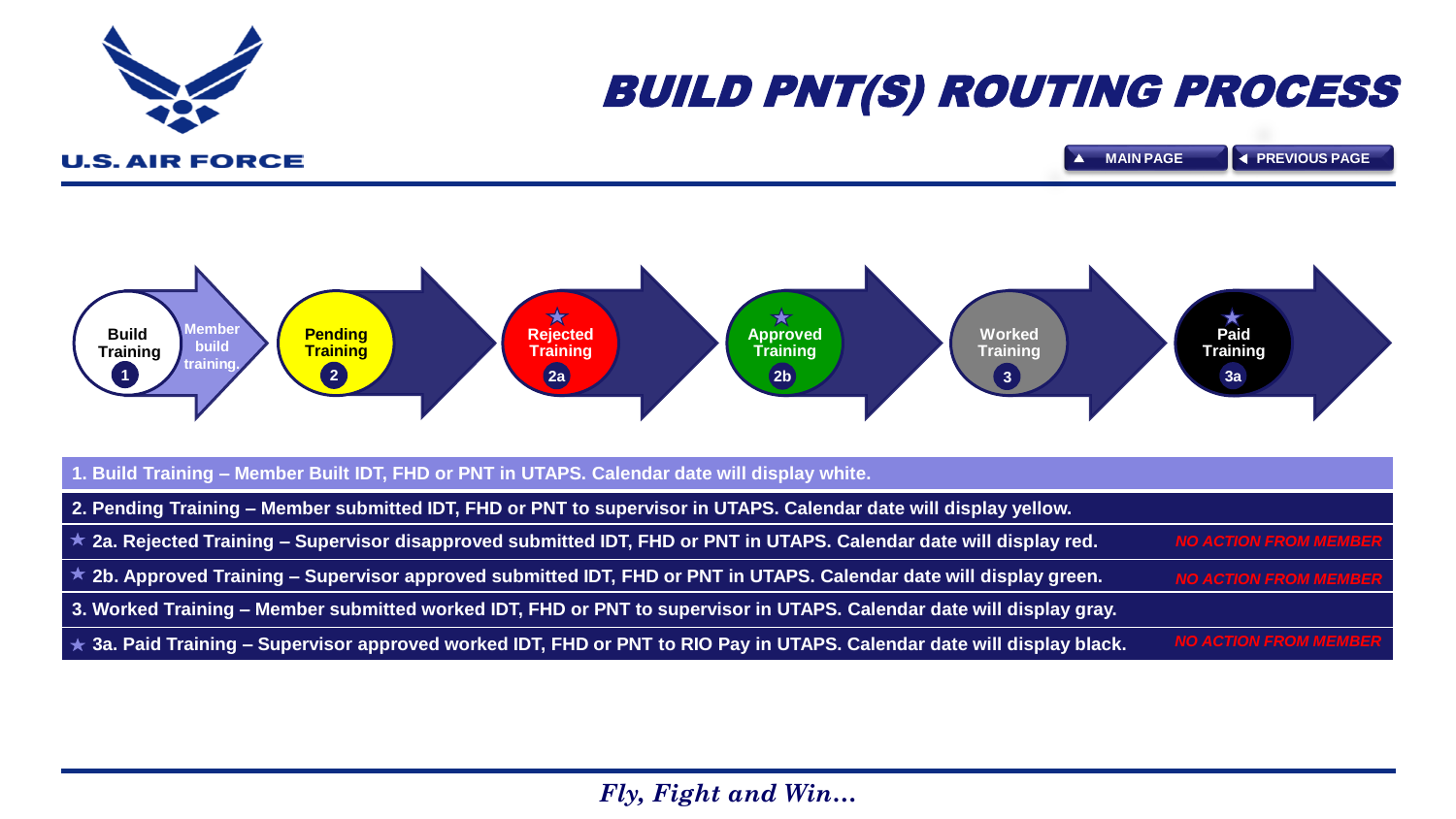<span id="page-9-0"></span>

# BUILD PNT(S) ROUTING PROCESS

**U.S. AIR FORCE** 



| 1. Build Training - Member Built IDT, FHD or PNT in UTAPS. Calendar date will display white.                                  |                              |
|-------------------------------------------------------------------------------------------------------------------------------|------------------------------|
| 2. Pending Training – Member submitted IDT, FHD or PNT to supervisor in UTAPS. Calendar date will display yellow.             |                              |
| $\star$ 2a. Rejected Training – Supervisor disapproved submitted IDT, FHD or PNT in UTAPS. Calendar date will display red.    | <b>NO ACTION FROM MEMBER</b> |
| $\star$ 2b. Approved Training – Supervisor approved submitted IDT, FHD or PNT in UTAPS. Calendar date will display green.     | <b>NO ACTION FROM MEMBER</b> |
| 3. Worked Training – Member submitted worked IDT, FHD or PNT to supervisor in UTAPS. Calendar date will display gray.         |                              |
| $\star$ 3a. Paid Training – Supervisor approved worked IDT, FHD or PNT to RIO Pay in UTAPS. Calendar date will display black. | <b>NO ACTION FROM MEMBER</b> |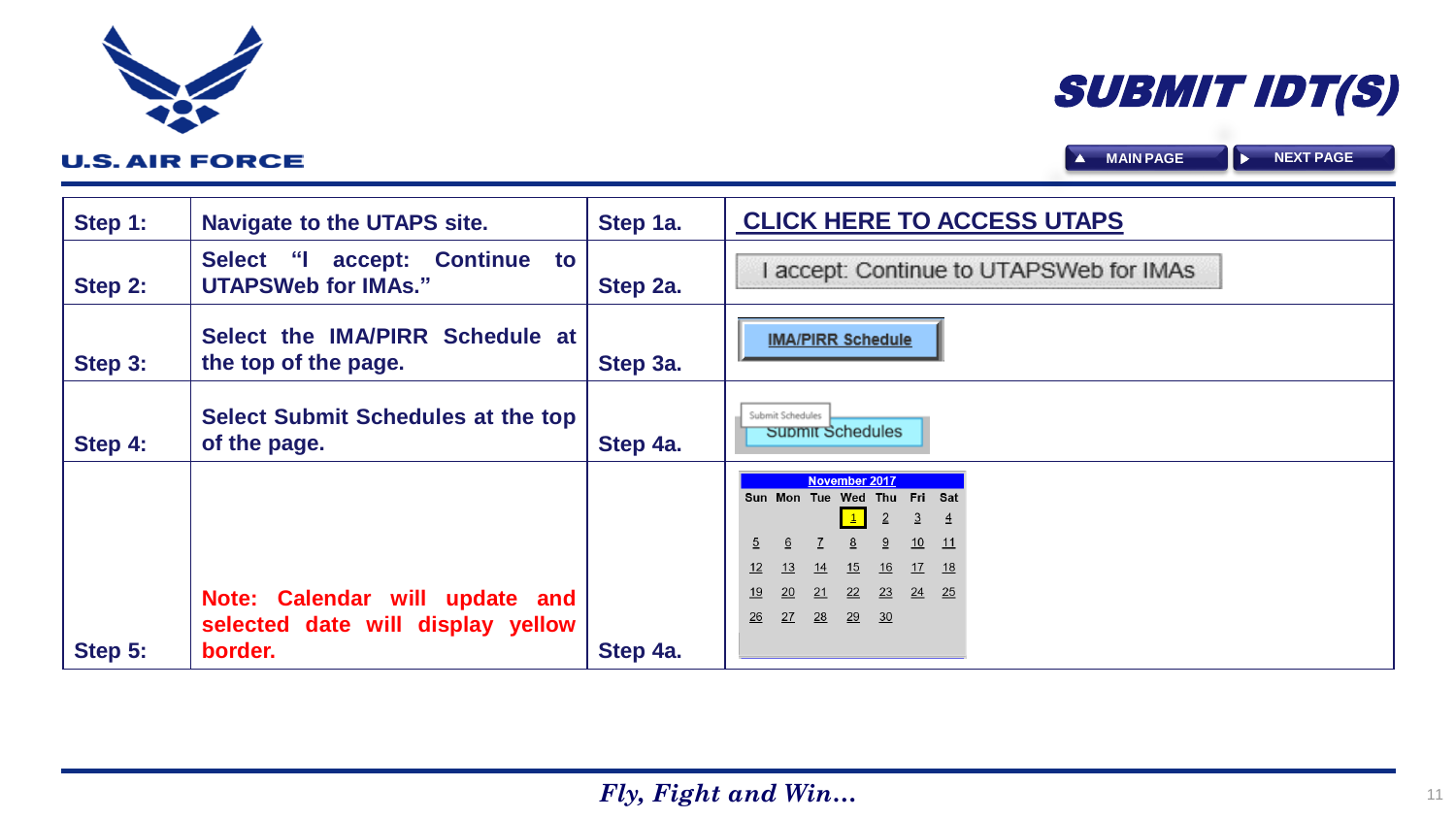| Step 1: | <b>Navigate to the UTAPS site.</b>                                  | Step 1a. | <b>CLICK HERE TO ACCESS UTAPS</b>                                                                                                                                                                                                            |
|---------|---------------------------------------------------------------------|----------|----------------------------------------------------------------------------------------------------------------------------------------------------------------------------------------------------------------------------------------------|
| Step 2: | accept: Continue<br>Select "I<br>to<br><b>UTAPSWeb for IMAs."</b>   | Step 2a. | accept: Continue to UTAPSWeb for IMAs                                                                                                                                                                                                        |
| Step 3: | Select the IMA/PIRR Schedule at<br>the top of the page.             | Step 3a. | <b>IMA/PIRR Schedule</b>                                                                                                                                                                                                                     |
| Step 4: | <b>Select Submit Schedules at the top</b><br>of the page.           | Step 4a. | Submit Schedules<br>Supmit Schedules                                                                                                                                                                                                         |
|         | Note: Calendar will update and<br>selected date will display yellow |          | <b>November 2017</b><br>Sun Mon Tue Wed Thu Fri Sat<br>$\underline{2}$<br>$\overline{3}$<br>10<br>9<br>$\overline{5}$<br>6<br>11<br>17<br>13<br>14<br>15<br>12<br>16<br>18<br>24<br>21<br>22<br>23<br>25<br>19<br>27<br>28<br>29<br>26<br>30 |
| Step 5: | border.                                                             | Step 4a. |                                                                                                                                                                                                                                              |

<span id="page-10-0"></span>

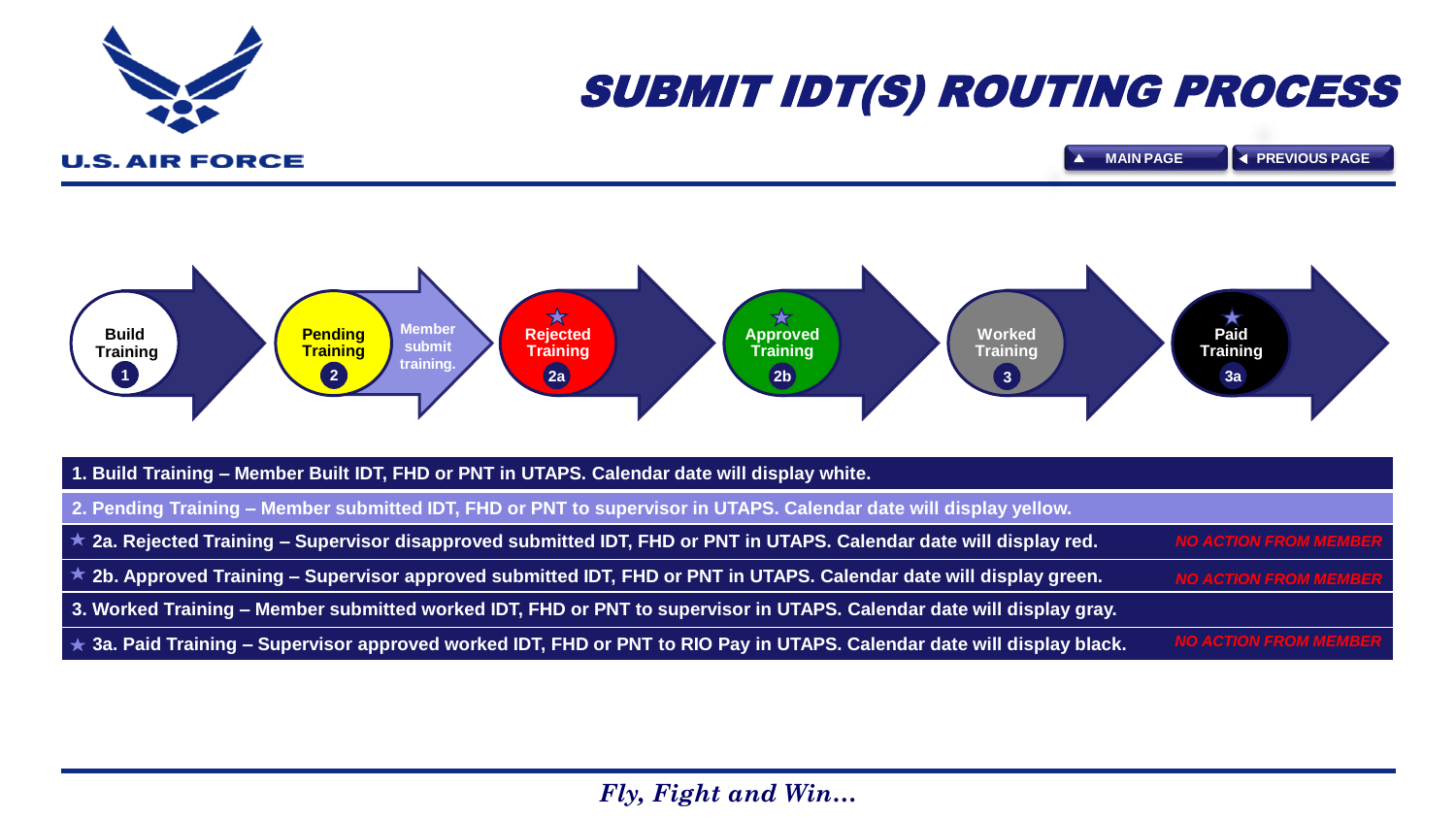<span id="page-11-0"></span>

# SUBMIT IDT(S) ROUTING PROCESS

**U.S. AIR FORCE** 



| 1. Build Training - Member Built IDT, FHD or PNT in UTAPS. Calendar date will display white.                                  |                              |
|-------------------------------------------------------------------------------------------------------------------------------|------------------------------|
| 2. Pending Training – Member submitted IDT, FHD or PNT to supervisor in UTAPS. Calendar date will display yellow.             |                              |
| $\star$ 2a. Rejected Training – Supervisor disapproved submitted IDT, FHD or PNT in UTAPS. Calendar date will display red.    | <b>NO ACTION FROM MEMBER</b> |
| $\star$ 2b. Approved Training – Supervisor approved submitted IDT, FHD or PNT in UTAPS. Calendar date will display green.     | <b>NO ACTION FROM MEMBER</b> |
| 3. Worked Training – Member submitted worked IDT, FHD or PNT to supervisor in UTAPS. Calendar date will display gray.         |                              |
| $\star$ 3a. Paid Training – Supervisor approved worked IDT, FHD or PNT to RIO Pay in UTAPS. Calendar date will display black. | <b>NO ACTION FROM MEMBER</b> |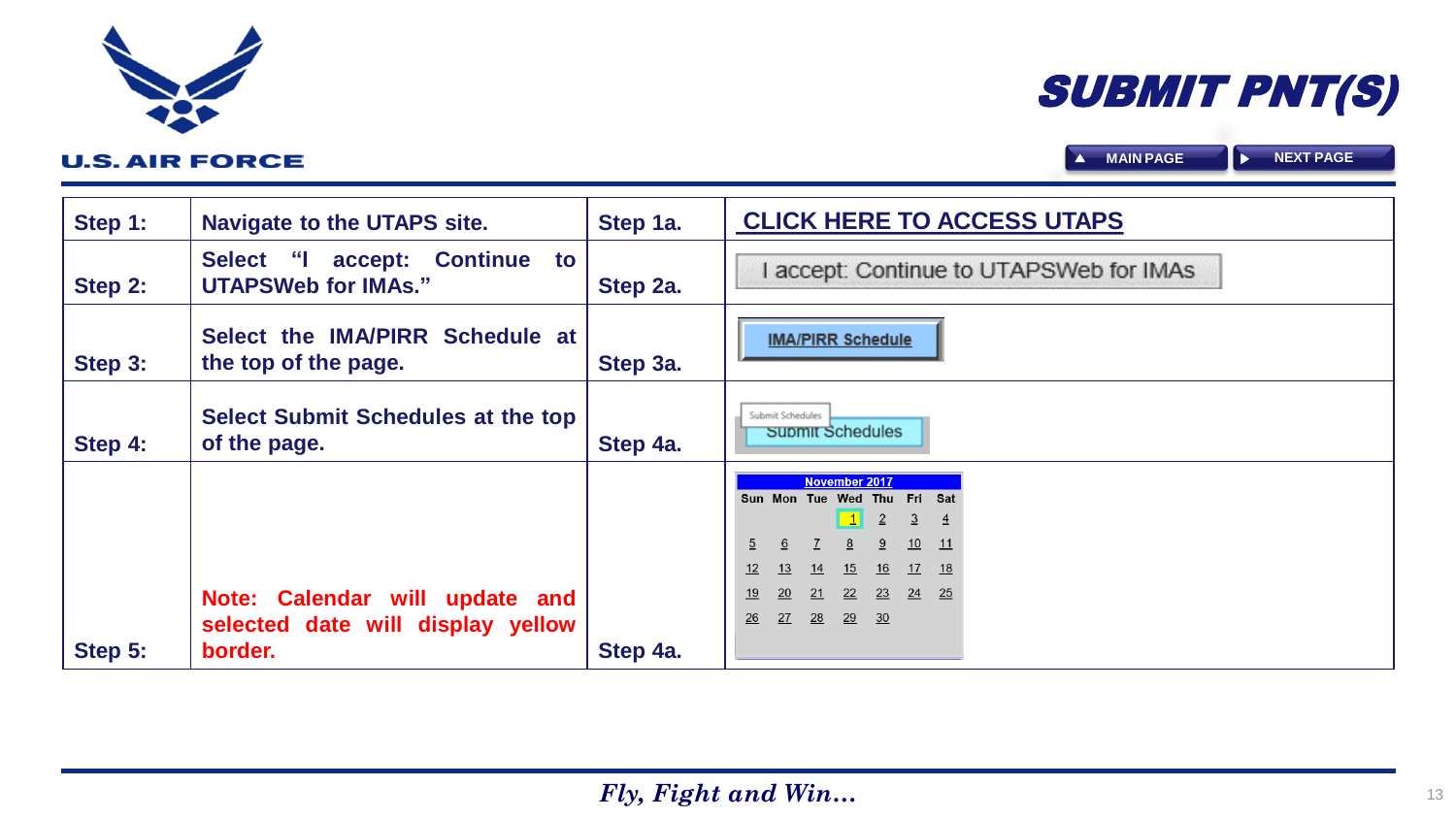| Step 1: | <b>Navigate to the UTAPS site.</b>                                  | Step 1a. | <b>CLICK HERE TO ACCESS UTAPS</b>                                                                                                                                                                                                                                                       |
|---------|---------------------------------------------------------------------|----------|-----------------------------------------------------------------------------------------------------------------------------------------------------------------------------------------------------------------------------------------------------------------------------------------|
| Step 2: | accept: Continue<br>Select "I<br>to<br><b>UTAPSWeb for IMAs."</b>   | Step 2a. | accept: Continue to UTAPSWeb for IMAs                                                                                                                                                                                                                                                   |
| Step 3: | Select the IMA/PIRR Schedule at<br>the top of the page.             | Step 3a. | <b>IMA/PIRR Schedule</b>                                                                                                                                                                                                                                                                |
| Step 4: | <b>Select Submit Schedules at the top</b><br>of the page.           | Step 4a. | Submit Schedules<br>Supmit Schedules                                                                                                                                                                                                                                                    |
|         | Note: Calendar will update and<br>selected date will display yellow |          | <b>November 2017</b><br>Sun Mon Tue Wed Thu Fri Sat<br>$\vert 1 \vert$<br>$\overline{2}$<br>$\overline{3}$<br>-4<br>9<br>10<br>6<br>$\overline{5}$<br>11<br>14<br>15<br>17<br>13<br>16<br>12<br>18<br>20<br>21<br>22<br>23<br>$\overline{24}$<br>25<br>19<br>27<br>28<br>29<br>26<br>30 |
| Step 5: | border.                                                             | Step 4a. |                                                                                                                                                                                                                                                                                         |

<span id="page-12-0"></span>

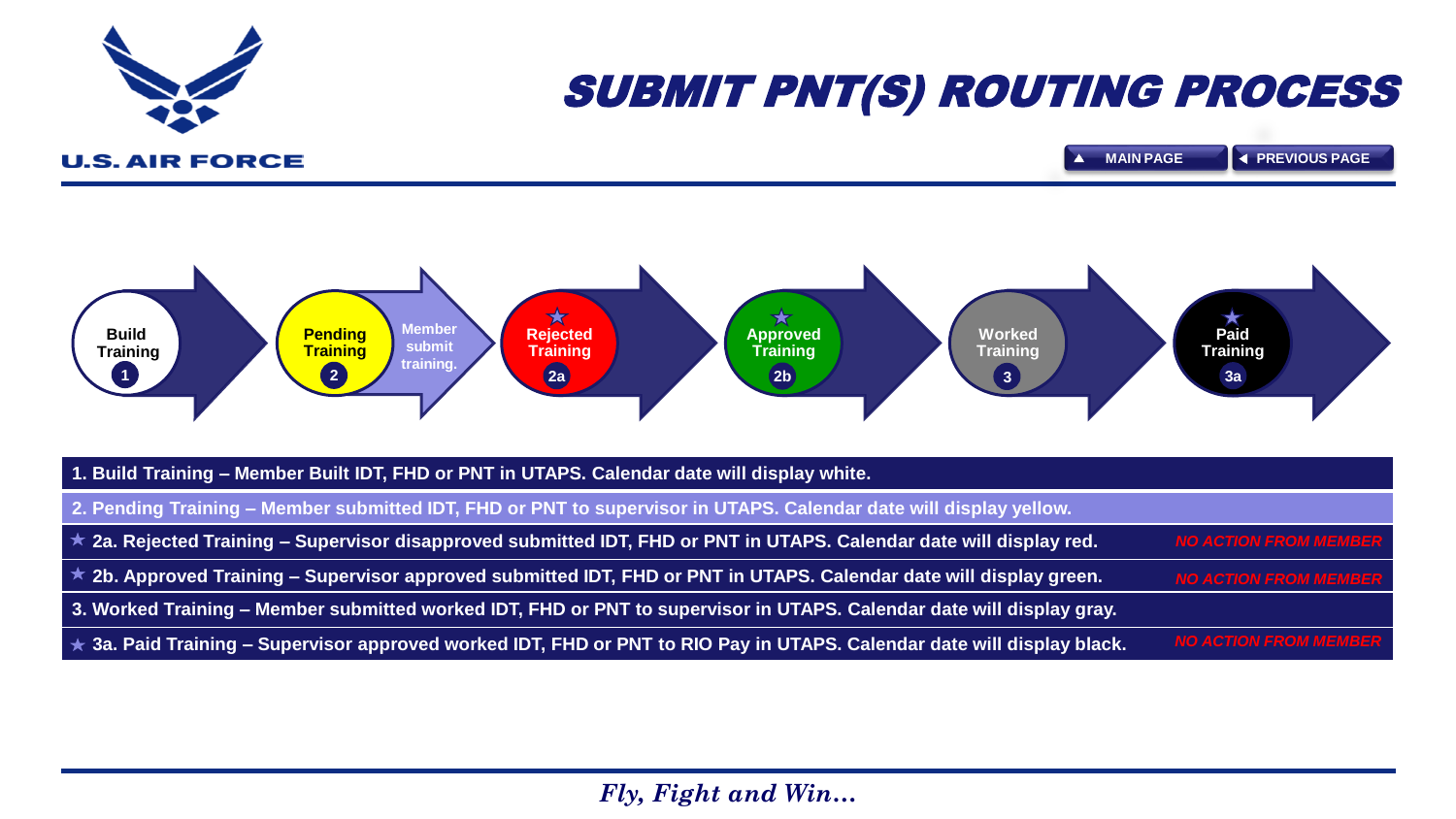<span id="page-13-0"></span>

# SUBMIT PNT(S) ROUTING PROCESS

**U.S. AIR FORCE** 



| 1. Build Training - Member Built IDT, FHD or PNT in UTAPS. Calendar date will display white.                                  |                              |
|-------------------------------------------------------------------------------------------------------------------------------|------------------------------|
| 2. Pending Training – Member submitted IDT, FHD or PNT to supervisor in UTAPS. Calendar date will display yellow.             |                              |
| $\star$ 2a. Rejected Training – Supervisor disapproved submitted IDT, FHD or PNT in UTAPS. Calendar date will display red.    | <b>NO ACTION FROM MEMBER</b> |
| <b>★ 2b. Approved Training – Supervisor approved submitted IDT, FHD or PNT in UTAPS. Calendar date will display green.</b>    | <b>NO ACTION FROM MEMBER</b> |
| 3. Worked Training – Member submitted worked IDT, FHD or PNT to supervisor in UTAPS. Calendar date will display gray.         |                              |
| $\star$ 3a. Paid Training – Supervisor approved worked IDT, FHD or PNT to RIO Pay in UTAPS. Calendar date will display black. | <b>NO ACTION FROM MEMBER</b> |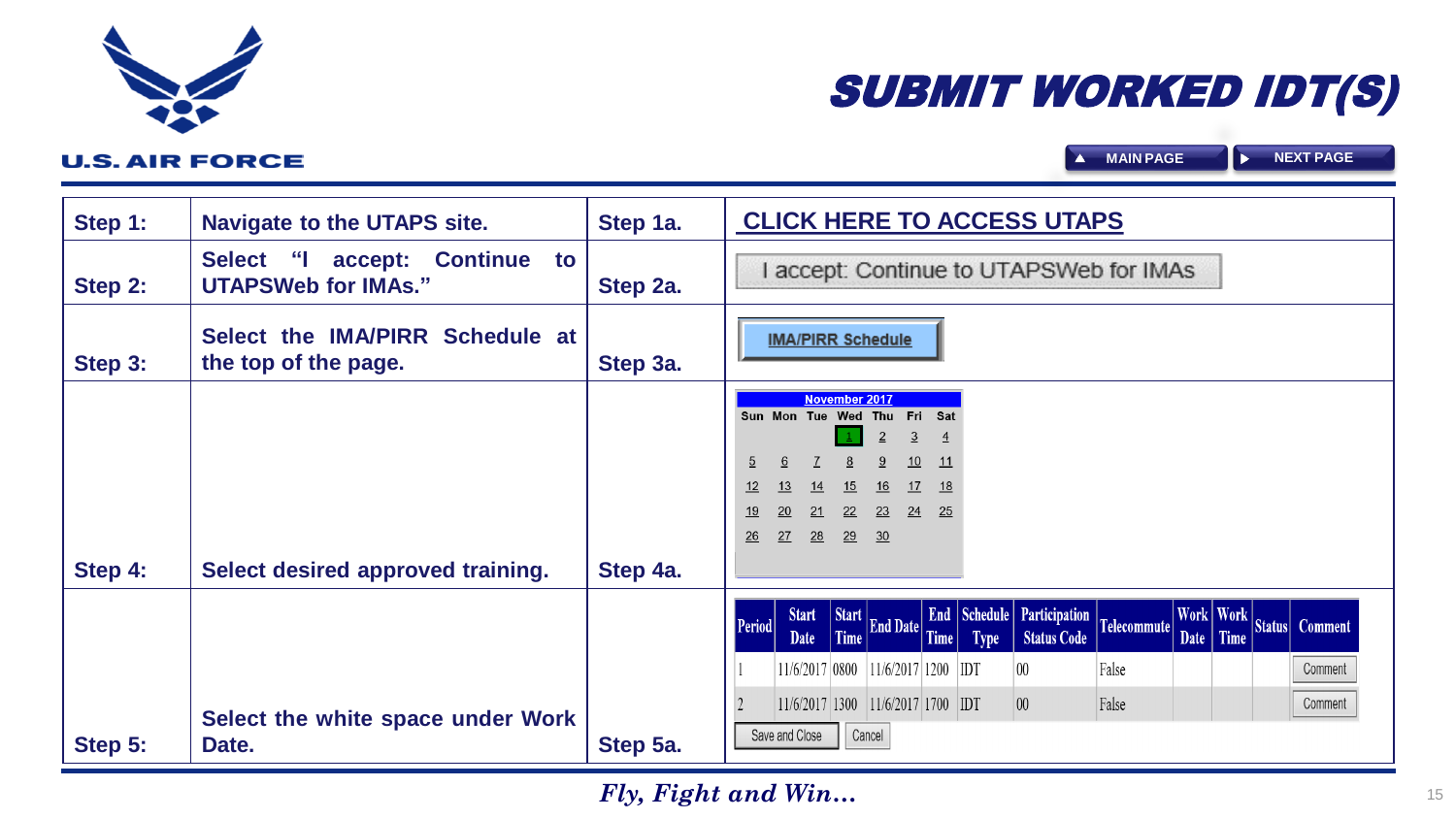| Step 1: | <b>Navigate to the UTAPS site.</b>                                                              | Step 1a. | <b>CLICK HERE TO ACCESS UTAPS</b>                                                                                                                                                                                                                                                  |  |
|---------|-------------------------------------------------------------------------------------------------|----------|------------------------------------------------------------------------------------------------------------------------------------------------------------------------------------------------------------------------------------------------------------------------------------|--|
| Step 2: | <b>Continue</b><br>$\mathbf{a}$<br><b>Select</b><br>accept:<br>to<br><b>UTAPSWeb for IMAs."</b> | Step 2a. | I accept: Continue to UTAPSWeb for IMAs                                                                                                                                                                                                                                            |  |
| Step 3: | Select the IMA/PIRR Schedule at<br>the top of the page.                                         | Step 3a. | <b>IMA/PIRR Schedule</b>                                                                                                                                                                                                                                                           |  |
| Step 4: | Select desired approved training.                                                               | Step 4a. | <b>November 2017</b><br>Sun Mon Tue Wed Thu Fri Sat<br>$\overline{3}$<br>$\overline{4}$<br>10<br>11<br>$\overline{2}$<br>6<br>18<br><u>12</u><br><u> 13</u><br>17<br>15<br><u>16</u><br>14<br>24<br>25<br><u> 20</u><br>22<br>23<br><u> 19</u><br>21<br>29<br>27<br>28<br>26<br>30 |  |
|         |                                                                                                 |          | <b>End Schedule Participation</b><br>Work Work Status Comment<br>Start End Date Time<br><b>Start</b><br>$\vert$ Telecommute $\vert$<br><b>Period</b><br><b>Status Code</b><br>Date<br><b>Type</b>                                                                                  |  |
| Step 5: | Select the white space under Work<br>Date.                                                      | Step 5a. | $ 11/6/2017 1200 $ IDT<br>False<br>11/6/2017 0800<br>$ 00\rangle$<br>Comment<br>$11/6/2017$ 1300 11/6/2017 1700 IDT<br>$ 00\rangle$<br>False<br>Comment<br>Save and Close<br>Cancel                                                                                                |  |

<span id="page-14-0"></span>

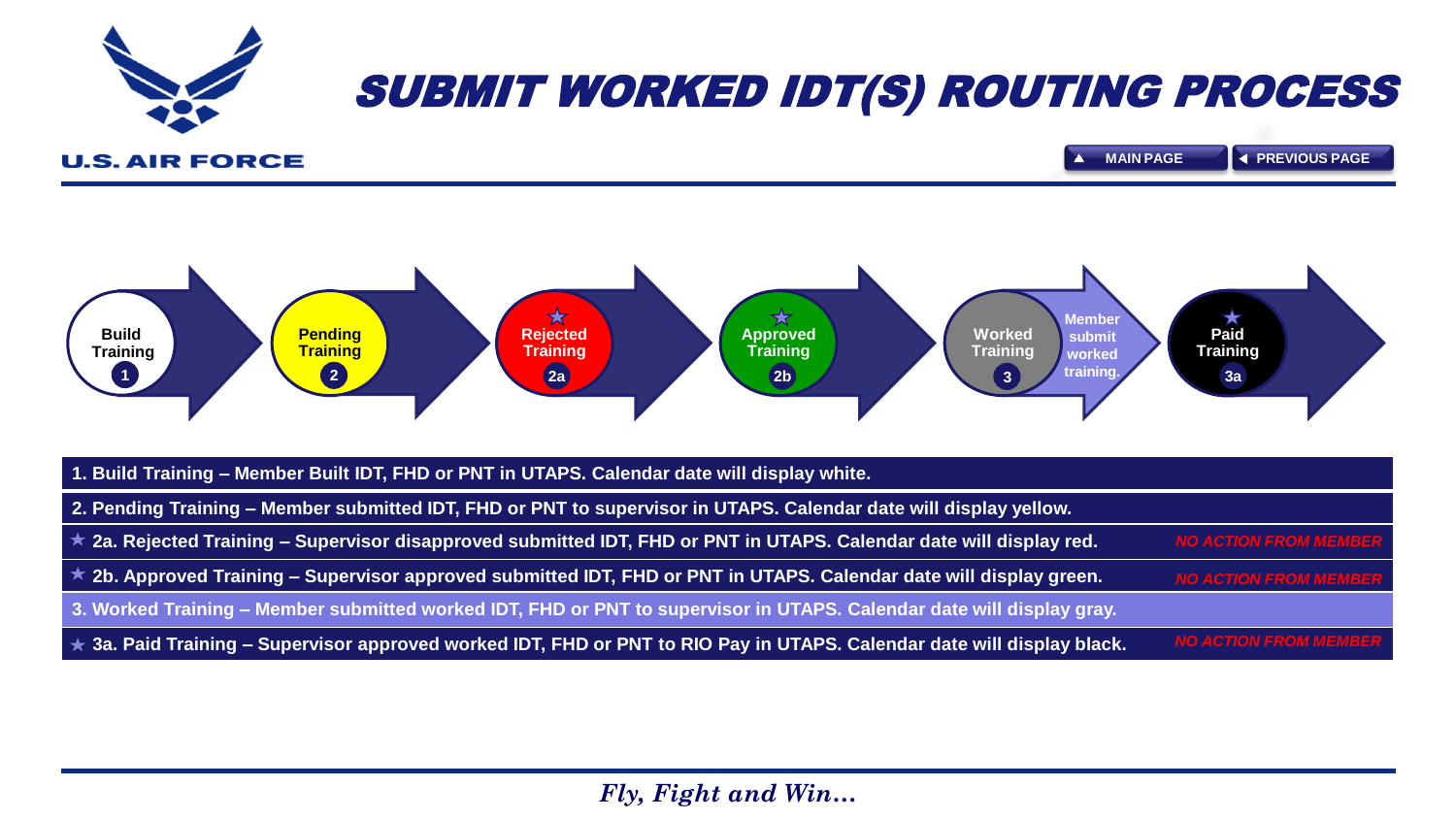<span id="page-15-0"></span>

# SUBMIT WORKED IDT(S) ROUTING PROCESS

**U.S. AIR FORCE** 



| 1. Build Training - Member Built IDT, FHD or PNT in UTAPS. Calendar date will display white.                                  |                              |
|-------------------------------------------------------------------------------------------------------------------------------|------------------------------|
| 2. Pending Training – Member submitted IDT, FHD or PNT to supervisor in UTAPS. Calendar date will display yellow.             |                              |
| $\star$ 2a. Rejected Training – Supervisor disapproved submitted IDT, FHD or PNT in UTAPS. Calendar date will display red.    | <b>NO ACTION FROM MEMBER</b> |
| $\star$ 2b. Approved Training – Supervisor approved submitted IDT, FHD or PNT in UTAPS. Calendar date will display green.     | <b>NO ACTION FROM MEMBER</b> |
| 3. Worked Training – Member submitted worked IDT, FHD or PNT to supervisor in UTAPS. Calendar date will display gray.         |                              |
| $\star$ 3a. Paid Training – Supervisor approved worked IDT, FHD or PNT to RIO Pay in UTAPS. Calendar date will display black. | <b>NO ACTION FROM MEMBER</b> |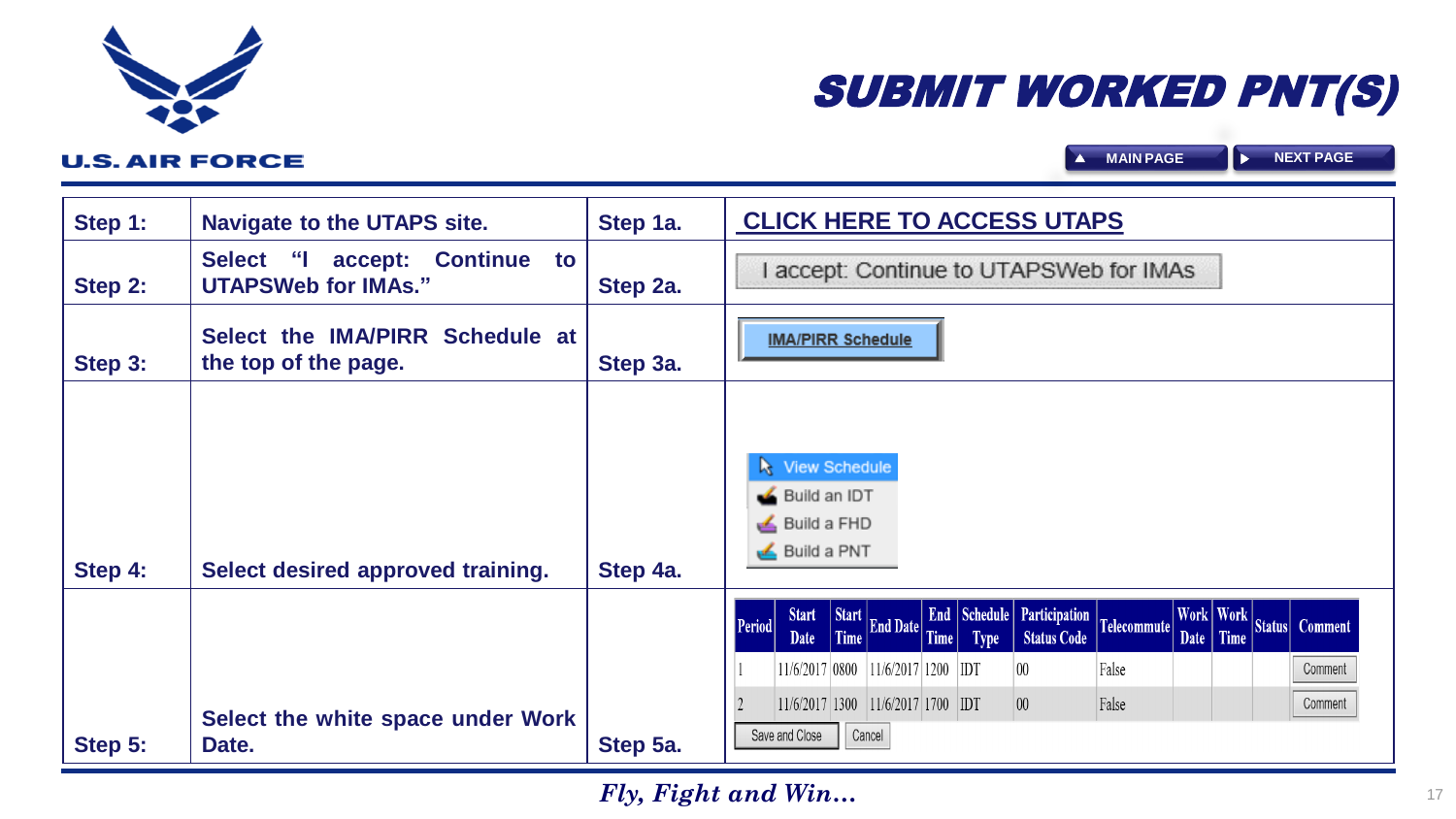| Step 1: | <b>Navigate to the UTAPS site.</b>                             | Step 1a. | <b>CLICK HERE TO ACCESS UTAPS</b>                                                                                                              |
|---------|----------------------------------------------------------------|----------|------------------------------------------------------------------------------------------------------------------------------------------------|
| Step 2: | accept: Continue to<br>Select "I<br><b>UTAPSWeb for IMAs."</b> | Step 2a. | accept: Continue to UTAPSWeb for IMAs                                                                                                          |
| Step 3: | Select the IMA/PIRR Schedule at<br>the top of the page.        | Step 3a. | <b>IMA/PIRR Schedule</b>                                                                                                                       |
| Step 4: | Select desired approved training.                              | Step 4a. | View Schedule<br>Build an IDT<br>Build a FHD<br>Build a PNT                                                                                    |
|         |                                                                |          | End Schedule Participation Telecommute<br>Work Work Status Comment<br>Start Start End Date Time<br>Period<br><b>Status Code</b><br><b>Type</b> |
|         |                                                                |          | 11/6/2017 0800 11/6/2017 1200 IDT<br>False<br>$00\,$<br>Comment                                                                                |
| Step 5: | Select the white space under Work<br>Date.                     | Step 5a. | $11/6/2017$ 1300 11/6/2017 1700 IDT<br>$00\,$<br>False<br>Comment<br>Save and Close<br>Cancel                                                  |

# SUBMIT WORKED PNT(S)

<span id="page-16-0"></span>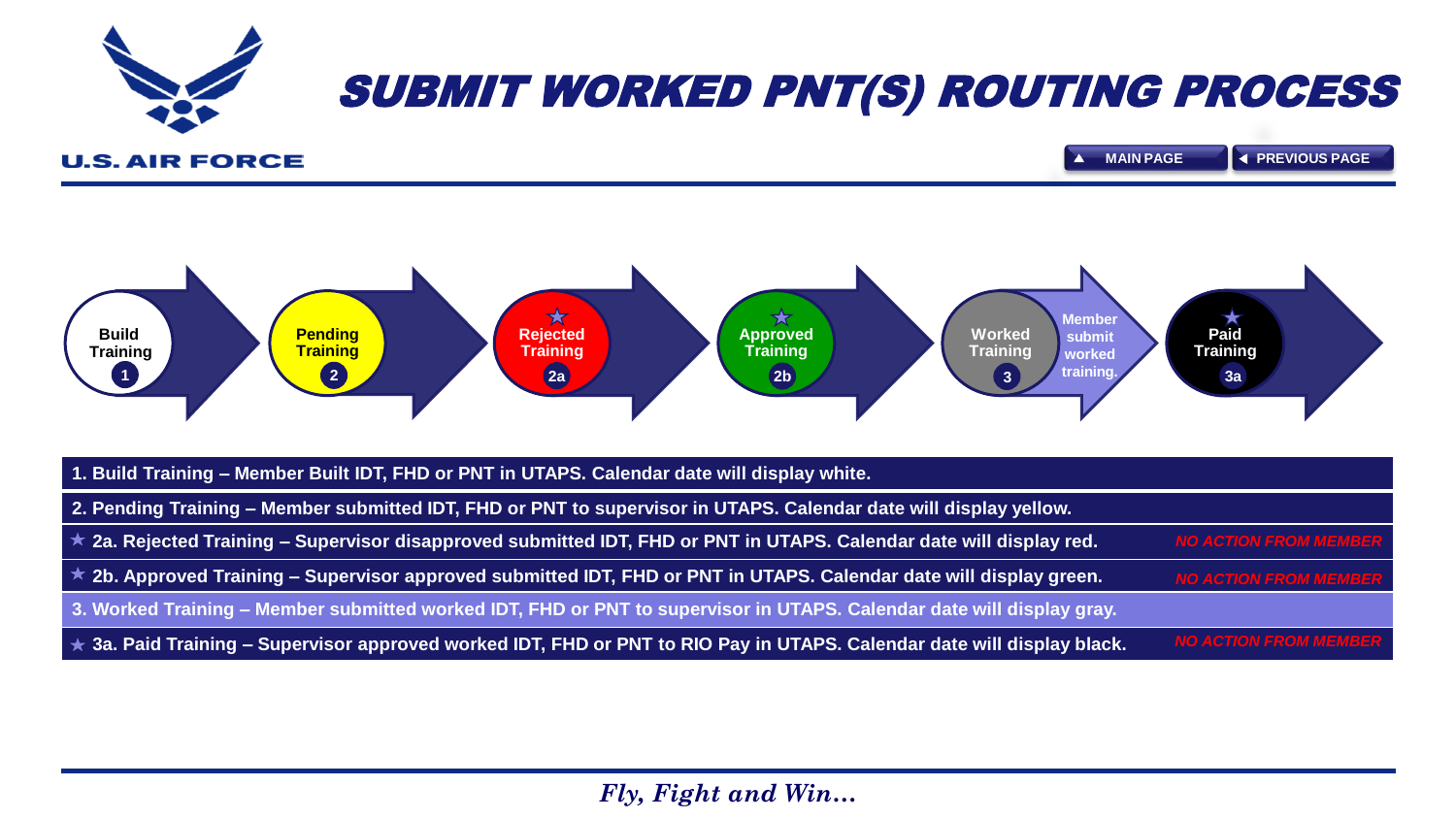<span id="page-17-0"></span>

# SUBMIT WORKED PNT(S) ROUTING PROCESS

**U.S. AIR FORCE** 



| 1. Build Training – Member Built IDT, FHD or PNT in UTAPS. Calendar date will display white.                                  |                              |
|-------------------------------------------------------------------------------------------------------------------------------|------------------------------|
| 2. Pending Training – Member submitted IDT, FHD or PNT to supervisor in UTAPS. Calendar date will display yellow.             |                              |
| <b>★ 2a. Rejected Training – Supervisor disapproved submitted IDT, FHD or PNT in UTAPS. Calendar date will display red.</b>   | <b>NO ACTION FROM MEMBER</b> |
| $\star$ 2b. Approved Training – Supervisor approved submitted IDT, FHD or PNT in UTAPS. Calendar date will display green.     | <b>NO ACTION FROM MEMBER</b> |
| 3. Worked Training – Member submitted worked IDT, FHD or PNT to supervisor in UTAPS. Calendar date will display gray.         |                              |
| $\star$ 3a. Paid Training – Supervisor approved worked IDT, FHD or PNT to RIO Pay in UTAPS. Calendar date will display black. | <b>NO ACTION FROM MEMBER</b> |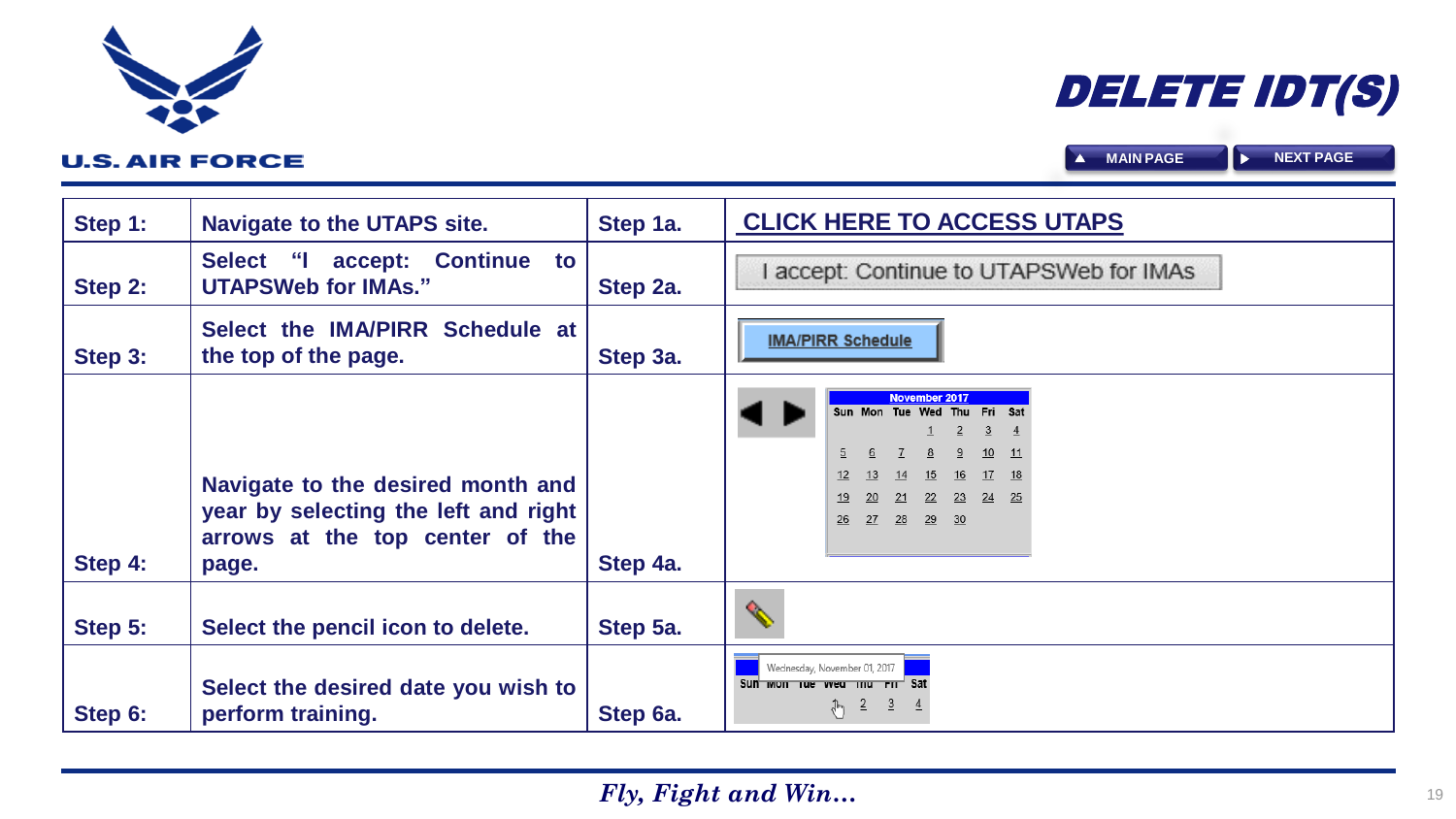| Step 1: | <b>Navigate to the UTAPS site.</b>                                                                                    | Step 1a. | <b>CLICK HERE TO ACCESS UTAPS</b>                                                                                                                                   |  |  |  |  |  |
|---------|-----------------------------------------------------------------------------------------------------------------------|----------|---------------------------------------------------------------------------------------------------------------------------------------------------------------------|--|--|--|--|--|
| Step 2: | accept: Continue to<br>Select "I<br><b>UTAPSWeb for IMAs."</b>                                                        | Step 2a. | I accept: Continue to UTAPSWeb for IMAs                                                                                                                             |  |  |  |  |  |
| Step 3: | Select the IMA/PIRR Schedule at<br>the top of the page.                                                               | Step 3a. | <b>IMA/PIRR Schedule</b>                                                                                                                                            |  |  |  |  |  |
| Step 4: | Navigate to the desired month and<br>year by selecting the left and right<br>arrows at the top center of the<br>page. | Step 4a. | November 2017<br>Sun Mon Tue Wed Thu Fri Sat<br>$\overline{2}$<br>3<br>10<br>$-11$<br>17<br>13<br>16<br>14<br>15<br>18<br>22 23 24 25<br>20<br>21<br>26 27 28 29 30 |  |  |  |  |  |
| Step 5: | Select the pencil icon to delete.                                                                                     | Step 5a. | Q.                                                                                                                                                                  |  |  |  |  |  |
| Step 6: | Select the desired date you wish to<br>perform training.                                                              | Step 6a. | Wednesday, November 01, 2017<br>Sun won the veal that Fit Sat<br>$\frac{1}{\sqrt[3]{2}}$ $\frac{2}{3}$ $\frac{4}{3}$                                                |  |  |  |  |  |

<span id="page-18-0"></span>

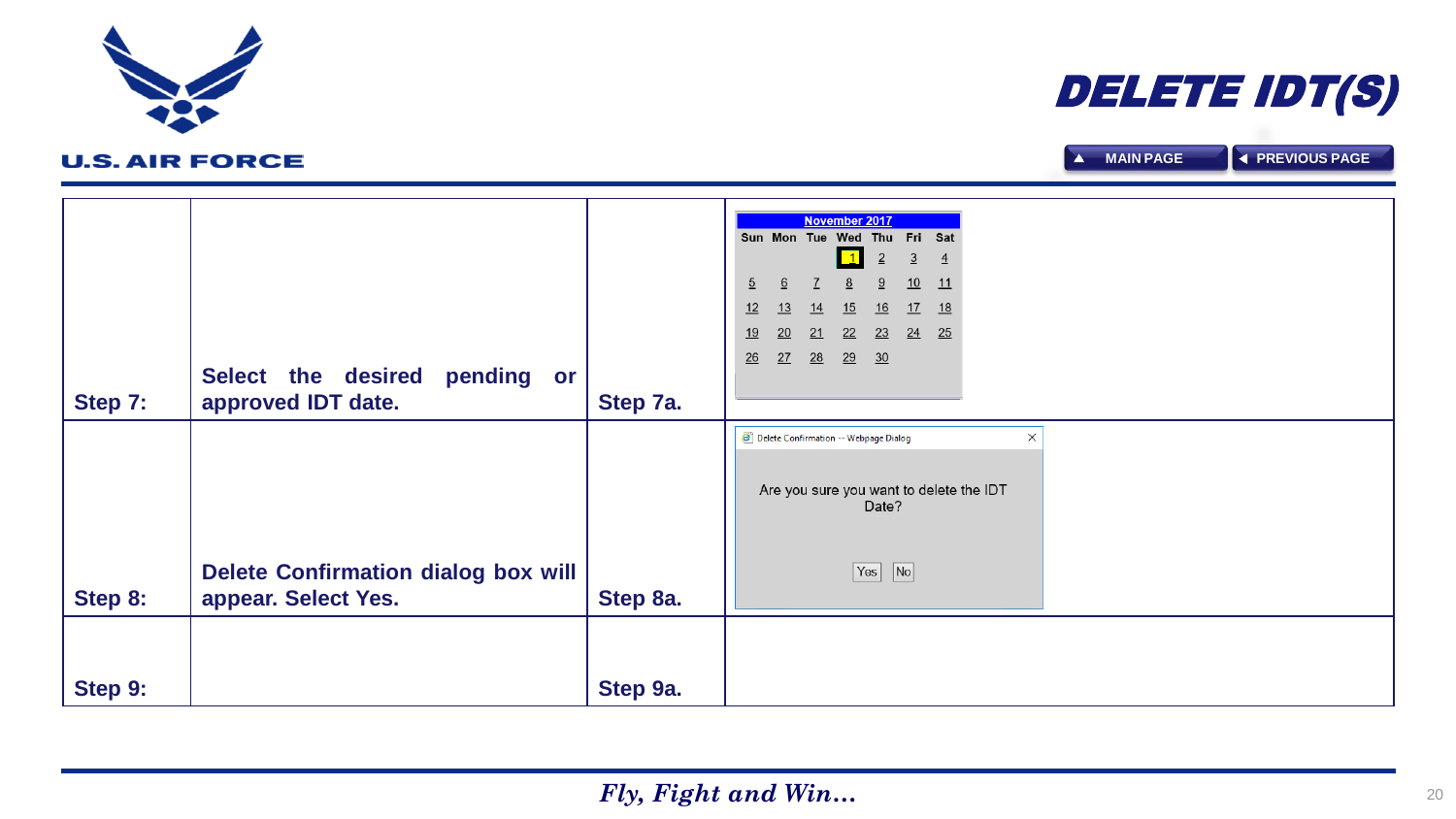|         |                                            |          | $\overline{2}$<br>$\overline{3}$<br>$\overline{4}$   |
|---------|--------------------------------------------|----------|------------------------------------------------------|
|         |                                            |          | $\overline{5}$<br>10<br>6<br>9<br>11<br>8            |
|         |                                            |          | 12<br>13<br>15<br><u>16</u><br><u>18</u><br>14<br>17 |
|         |                                            |          | 19<br>20<br>22<br>23<br>24<br>25<br>21               |
|         |                                            |          | $\frac{26}{5}$<br>27<br>28<br>29<br>$\overline{30}$  |
|         | Select the desired<br>pending or           |          |                                                      |
| Step 7: | approved IDT date.                         | Step 7a. |                                                      |
|         |                                            |          | Delete Confirmation -- Webpage Dialog<br>$\times$    |
|         |                                            |          |                                                      |
|         |                                            |          | Are you sure you want to delete the IDT              |
|         |                                            |          | Date?                                                |
|         |                                            |          |                                                      |
|         | <b>Delete Confirmation dialog box will</b> |          | $\sqrt{N}$<br>Yes                                    |
| Step 8: | appear. Select Yes.                        | Step 8a. |                                                      |
|         |                                            |          |                                                      |
|         |                                            |          |                                                      |
|         |                                            |          |                                                      |
| Step 9: |                                            | Step 9a. |                                                      |
|         |                                            |          |                                                      |

November 2017 Sun Mon Tue Wed Thu Fri Sat

## **U.S. AIR FORCE**

<span id="page-19-0"></span>

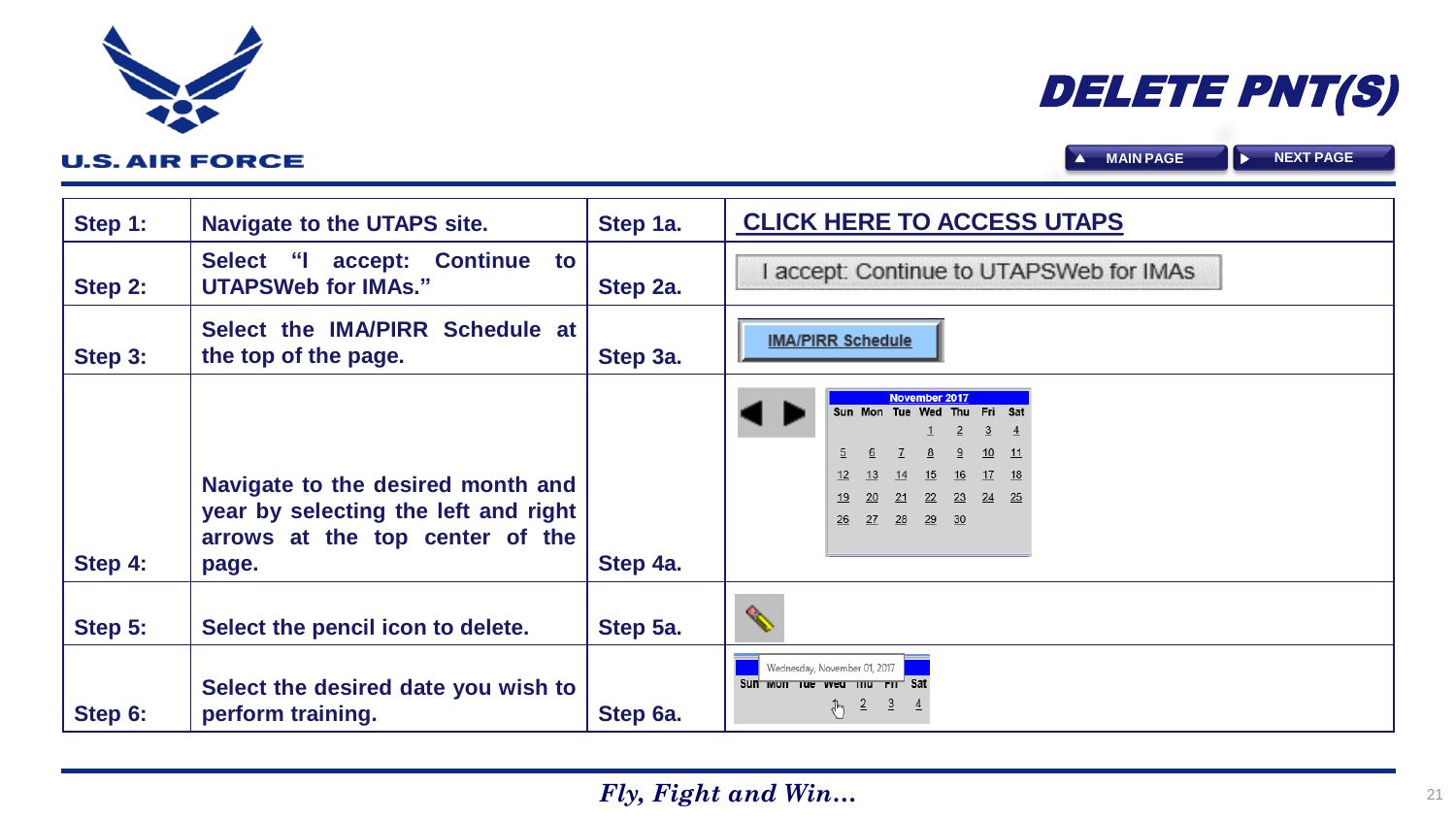| Step 1: | <b>Navigate to the UTAPS site.</b>                                                                                    | Step 1a. | <b>CLICK HERE TO ACCESS UTAPS</b>                                                                                                                                              |  |  |  |  |
|---------|-----------------------------------------------------------------------------------------------------------------------|----------|--------------------------------------------------------------------------------------------------------------------------------------------------------------------------------|--|--|--|--|
| Step 2: | accept: Continue<br>Select "I<br>to<br><b>UTAPSWeb for IMAs."</b>                                                     | Step 2a. | accept: Continue to UTAPSWeb for IMAs                                                                                                                                          |  |  |  |  |
| Step 3: | Select the IMA/PIRR Schedule at<br>the top of the page.                                                               | Step 3a. | <b>IMA/PIRR Schedule</b>                                                                                                                                                       |  |  |  |  |
| Step 4: | Navigate to the desired month and<br>year by selecting the left and right<br>arrows at the top center of the<br>page. | Step 4a. | November 2017<br>Sun Mon Tue Wed Thu Fri Sat<br>2<br>-3<br>10 <sup>1</sup><br>$-11$<br>17 18<br>15<br>14<br>16<br>$\frac{24}{25}$<br>22 23<br>21<br>20<br>27 28<br>29 30<br>26 |  |  |  |  |
| Step 5: | Select the pencil icon to delete.                                                                                     | Step 5a. | ⇖                                                                                                                                                                              |  |  |  |  |
| Step 6: | Select the desired date you wish to<br>perform training.                                                              | Step 6a. | Wednesday, November 01, 2017<br>Sun won us wed mu rm <sup>1</sup> Sat<br>$\frac{2}{2}$ $\frac{3}{2}$ $\frac{4}{2}$<br>$\sqrt[3]{\eta}$                                         |  |  |  |  |

<span id="page-20-0"></span>

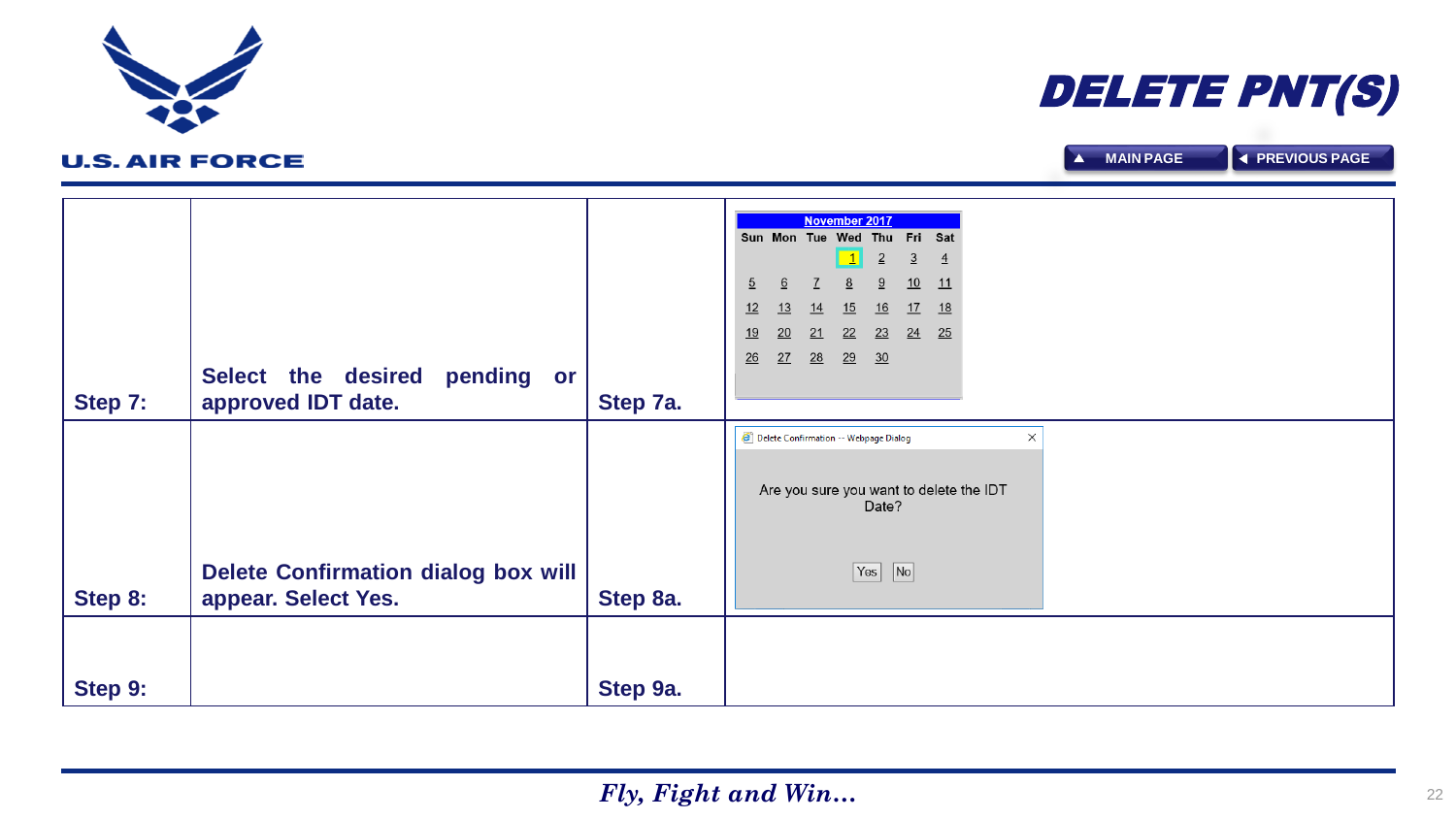|         |                                            |          |                |                                       |    | <b>November 2017</b> |                |                |                |                                         |
|---------|--------------------------------------------|----------|----------------|---------------------------------------|----|----------------------|----------------|----------------|----------------|-----------------------------------------|
|         |                                            |          |                | Sun Mon Tue Wed Thu Fri Sat           |    |                      |                |                |                |                                         |
|         |                                            |          |                |                                       |    | $\boxed{1}$          | $\overline{2}$ | $\overline{3}$ | $\overline{4}$ |                                         |
|         |                                            |          |                |                                       |    |                      |                |                |                |                                         |
|         |                                            |          | $\overline{5}$ | 6                                     |    |                      | 9              | 10             | 11             |                                         |
|         |                                            |          | 12             | 13                                    | 14 | 15                   | 16             | 17             | 18             |                                         |
|         |                                            |          | 19             | 20                                    | 21 | 22                   | 23             | 24             | 25             |                                         |
|         |                                            |          | 26             | 27                                    | 28 | 29                   | 30             |                |                |                                         |
|         | Select the desired<br>pending or           |          |                |                                       |    |                      |                |                |                |                                         |
|         |                                            |          |                |                                       |    |                      |                |                |                |                                         |
| Step 7: | approved IDT date.                         | Step 7a. |                |                                       |    |                      |                |                |                |                                         |
|         |                                            |          |                | Delete Confirmation -- Webpage Dialog |    |                      |                |                |                | $\times$                                |
|         |                                            |          |                |                                       |    |                      |                |                |                |                                         |
|         |                                            |          |                |                                       |    |                      |                |                |                |                                         |
|         |                                            |          |                |                                       |    |                      |                |                |                | Are you sure you want to delete the IDT |
|         |                                            |          |                |                                       |    |                      | Date?          |                |                |                                         |
|         |                                            |          |                |                                       |    |                      |                |                |                |                                         |
|         |                                            |          |                |                                       |    |                      |                |                |                |                                         |
|         |                                            |          |                |                                       |    |                      |                |                |                |                                         |
|         | <b>Delete Confirmation dialog box will</b> |          |                |                                       |    |                      | Yes            | $\sqrt{N}$     |                |                                         |
| Step 8: | appear. Select Yes.                        | Step 8a. |                |                                       |    |                      |                |                |                |                                         |
|         |                                            |          |                |                                       |    |                      |                |                |                |                                         |
|         |                                            |          |                |                                       |    |                      |                |                |                |                                         |
|         |                                            |          |                |                                       |    |                      |                |                |                |                                         |
|         |                                            |          |                |                                       |    |                      |                |                |                |                                         |
| Step 9: |                                            | Step 9a. |                |                                       |    |                      |                |                |                |                                         |

<span id="page-21-0"></span>

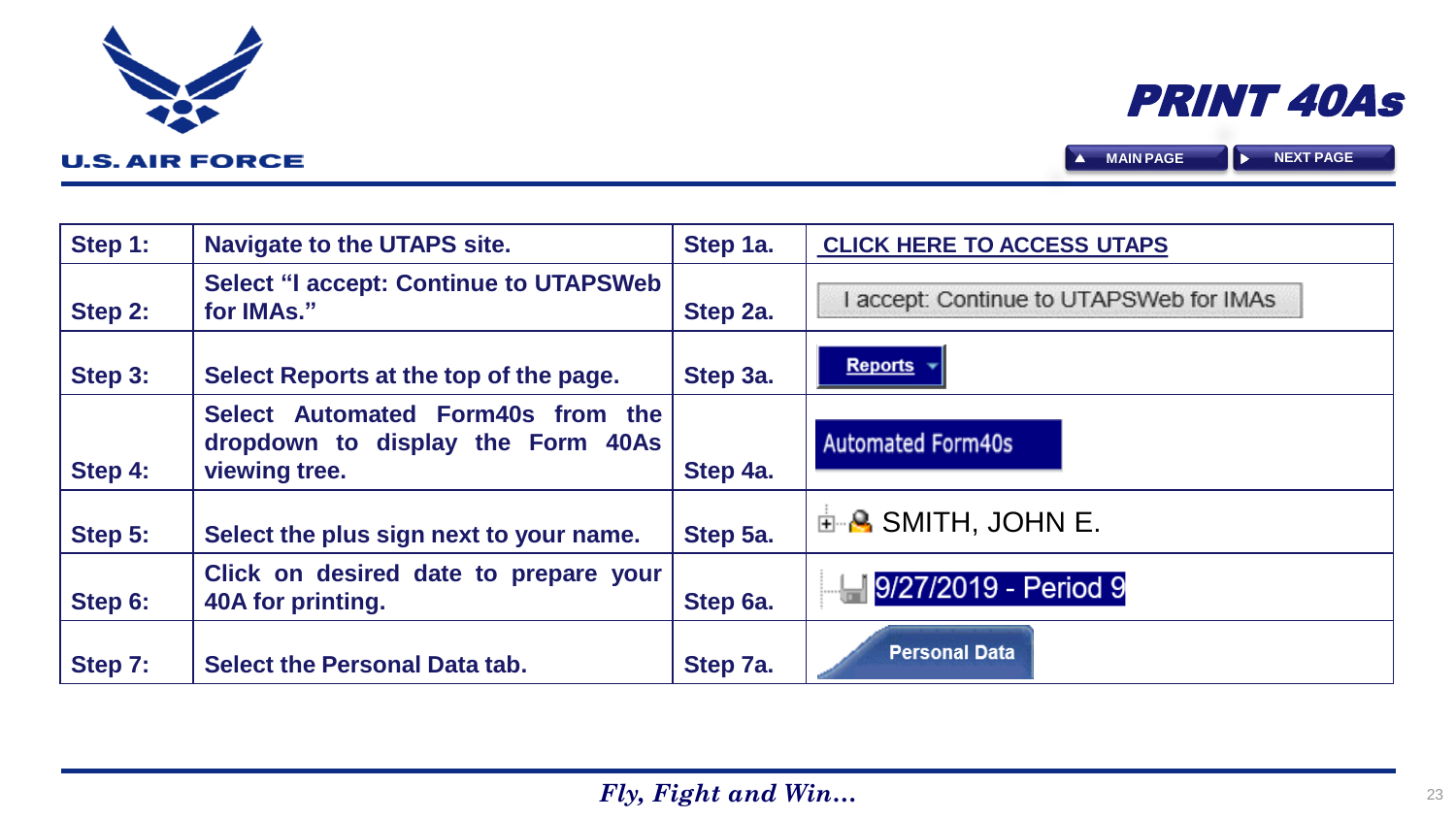| Step 1: | <b>Navigate to the UTAPS site.</b>                                                      | Step 1a. | <b>CLICK HERE TO ACCESS UTAPS</b>       |
|---------|-----------------------------------------------------------------------------------------|----------|-----------------------------------------|
| Step 2: | <b>Select "I accept: Continue to UTAPSWeb</b><br>for IMAs."                             | Step 2a. | I accept: Continue to UTAPSWeb for IMAs |
| Step 3: | Select Reports at the top of the page.                                                  | Step 3a. | <b>Reports</b>                          |
| Step 4: | Select Automated Form40s from the<br>dropdown to display the Form 40As<br>viewing tree. | Step 4a. | <b>Automated Form40s</b>                |
| Step 5: | Select the plus sign next to your name.                                                 | Step 5a. | <b>⊞ B SMITH, JOHN E.</b>               |
| Step 6: | Click on desired date to prepare your<br>40A for printing.                              | Step 6a. | 9/27/2019 - Period 9                    |
| Step 7: | <b>Select the Personal Data tab.</b>                                                    | Step 7a. | <b>Personal Data</b>                    |

<span id="page-22-0"></span>

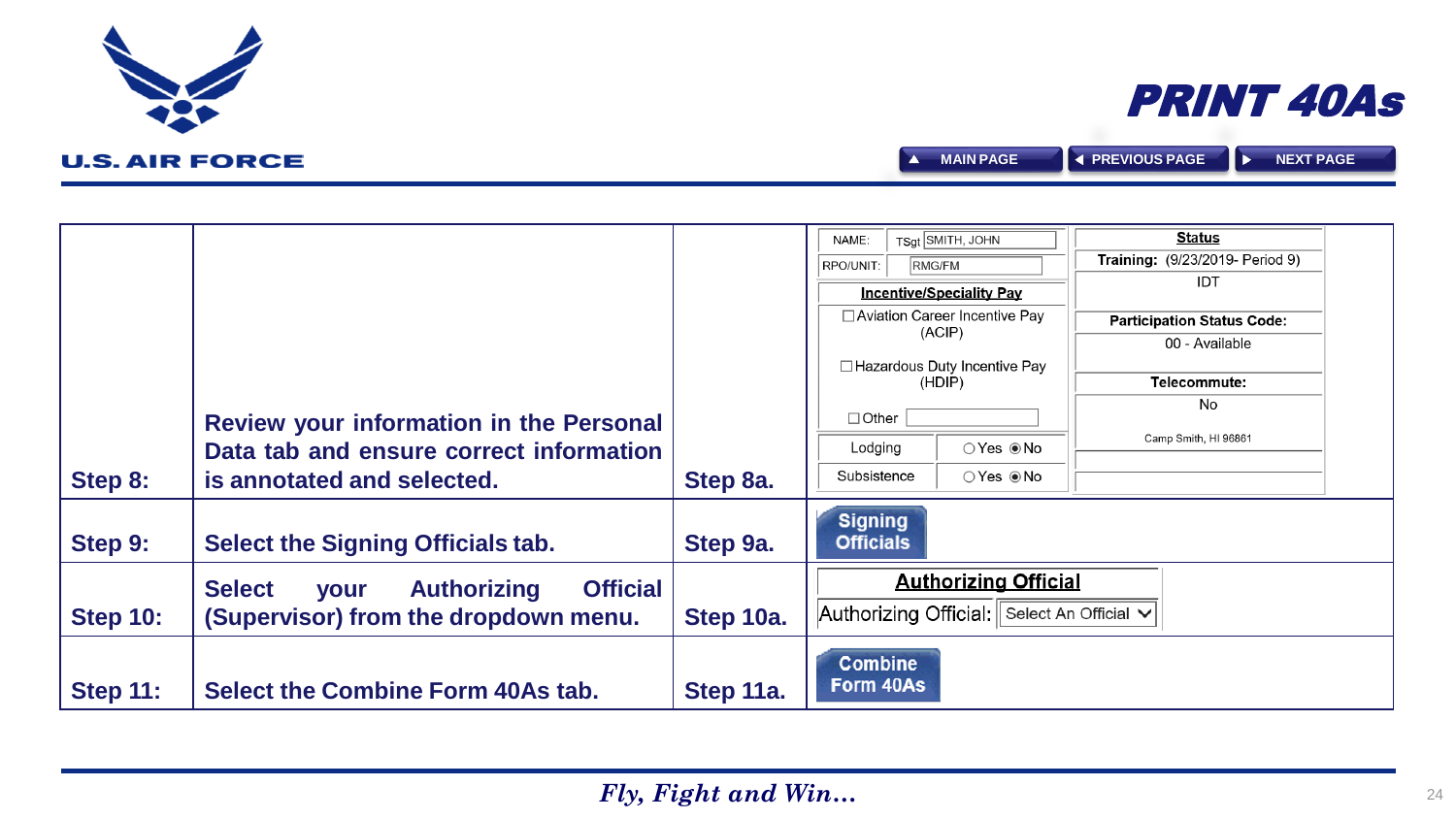|                 |                                                                       |           | TSqt SMITH, JOHN<br>NAME:                       | <b>Status</b>                     |
|-----------------|-----------------------------------------------------------------------|-----------|-------------------------------------------------|-----------------------------------|
|                 |                                                                       |           | RMG/FM<br>RPO/UNIT:                             | Training: (9/23/2019- Period 9)   |
|                 |                                                                       |           | <b>Incentive/Speciality Pay</b>                 | IDT                               |
|                 |                                                                       |           | □ Aviation Career Incentive Pay                 | <b>Participation Status Code:</b> |
|                 |                                                                       |           | (ACIP)                                          | 00 - Available                    |
|                 |                                                                       |           | □ Hazardous Duty Incentive Pay                  |                                   |
|                 |                                                                       |           | (HDIP)                                          | Telecommute:<br>No                |
|                 | Review your information in the Personal                               |           | $\Box$ Other                                    |                                   |
|                 | Data tab and ensure correct information                               |           | Lodging                                         | Camp Smith, HI 96861              |
| Step 8:         | is annotated and selected.                                            | Step 8a.  | Subsistence<br>$\bigcirc$ Yes $\circledcirc$ No |                                   |
| Step 9:         | Select the Signing Officials tab.                                     | Step 9a.  | <b>Signing</b><br><b>Officials</b>              |                                   |
|                 | <b>Official</b><br><b>Select</b><br><b>Authorizing</b><br><b>your</b> |           | <b>Authorizing Official</b>                     |                                   |
| <b>Step 10:</b> | (Supervisor) from the dropdown menu.                                  | Step 10a. | Authorizing Official: Select An Official $\vee$ |                                   |
| <b>Step 11:</b> | Select the Combine Form 40As tab.                                     | Step 11a. | <b>Combine</b><br>Form 40As                     |                                   |

<span id="page-23-0"></span>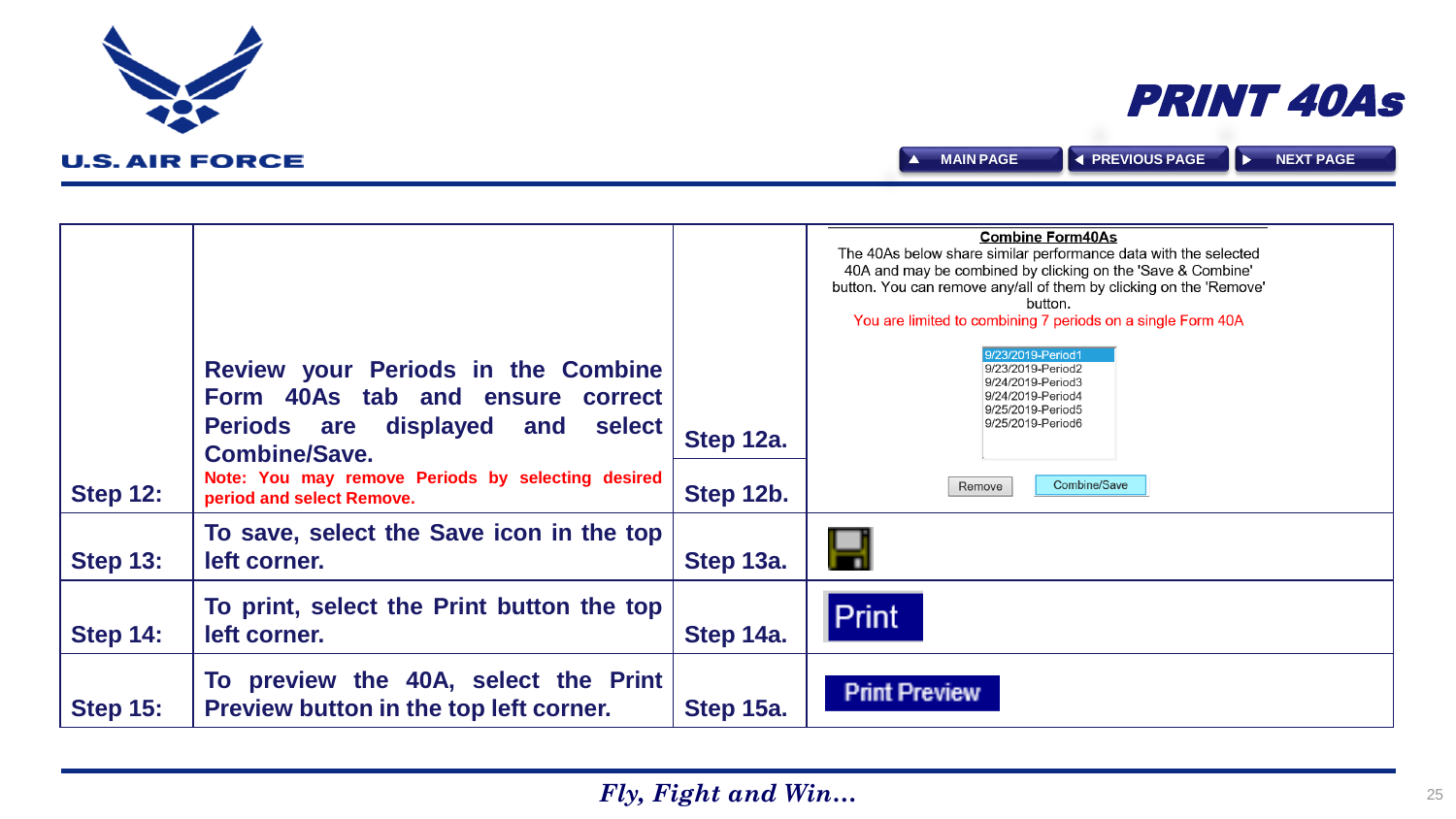<span id="page-24-0"></span>

|                 |                                                                                                                                                                                                                                   |                        | <b>Combine Form40As</b><br>The 40As below share similar performance data with the selected<br>40A and may be combined by clicking on the 'Save & Combine'<br>button. You can remove any/all of them by clicking on the 'Remove'<br>button.<br>You are limited to combining 7 periods on a single Form 40A |
|-----------------|-----------------------------------------------------------------------------------------------------------------------------------------------------------------------------------------------------------------------------------|------------------------|-----------------------------------------------------------------------------------------------------------------------------------------------------------------------------------------------------------------------------------------------------------------------------------------------------------|
| <b>Step 12:</b> | Review your Periods in the Combine<br>Form 40As tab and ensure correct<br>displayed and<br>select<br><b>Periods are</b><br><b>Combine/Save.</b><br>Note: You may remove Periods by selecting desired<br>period and select Remove. | Step 12a.<br>Step 12b. | 9/23/2019-Period1<br>9/23/2019-Period2<br>9/24/2019-Period3<br>9/24/2019-Period4<br>9/25/2019-Period5<br>9/25/2019-Period6<br>Combine/Save<br>Remove                                                                                                                                                      |
| <b>Step 13:</b> | To save, select the Save icon in the top<br>left corner.                                                                                                                                                                          | Step 13a.              | у                                                                                                                                                                                                                                                                                                         |
| <b>Step 14:</b> | To print, select the Print button the top<br>left corner.                                                                                                                                                                         | Step 14a.              | <b>Print</b>                                                                                                                                                                                                                                                                                              |
| <b>Step 15:</b> | To preview the 40A, select the Print<br>Preview button in the top left corner.                                                                                                                                                    | Step 15a.              | <b>Print Preview</b>                                                                                                                                                                                                                                                                                      |



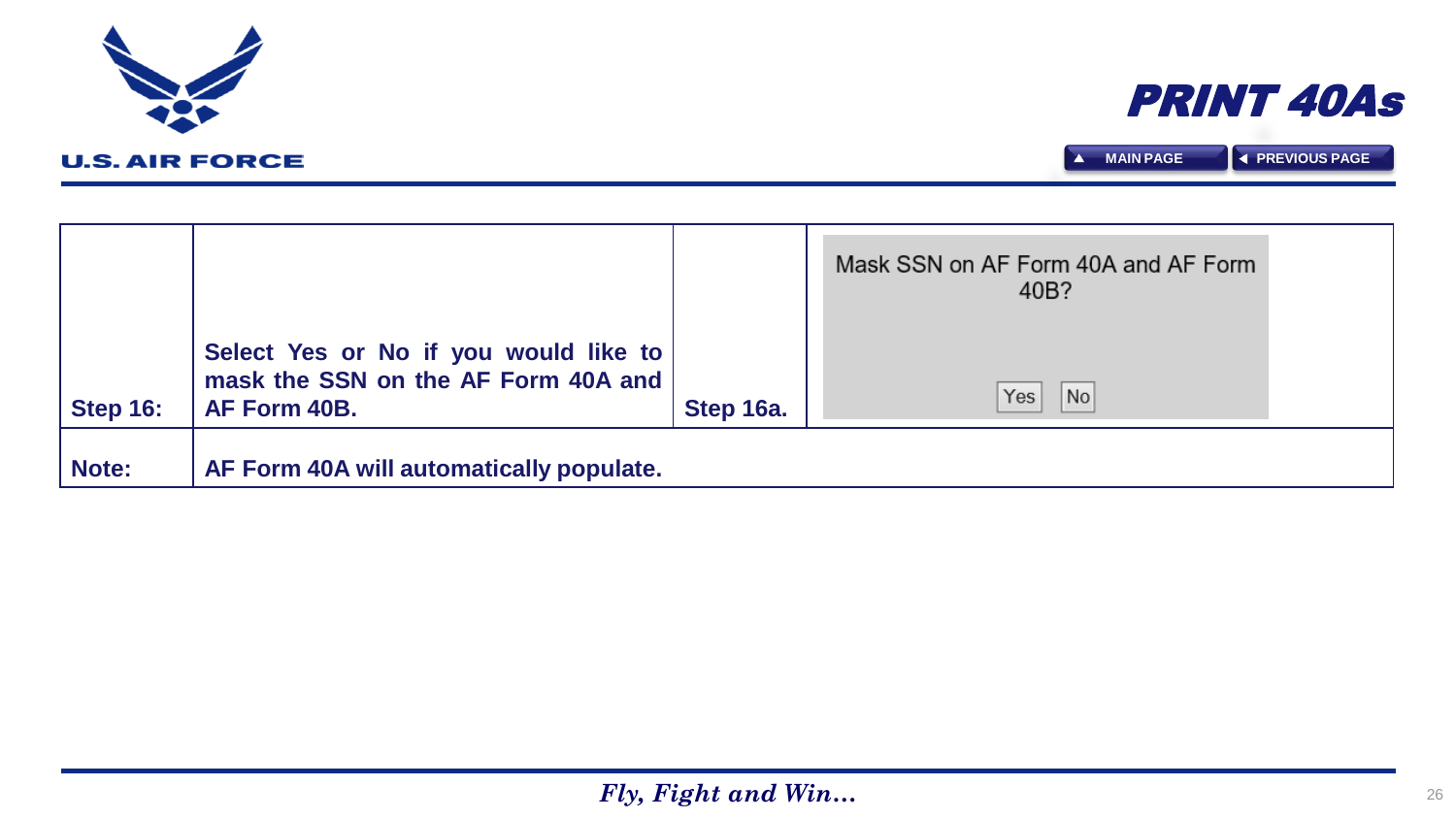**Note: AF Form 40A will automatically populate.**

|                 |                                                                                              |           | Mask SSN on AF Form 40A and AF Form |  |
|-----------------|----------------------------------------------------------------------------------------------|-----------|-------------------------------------|--|
| <b>Step 16:</b> | Select Yes or No if you would like to<br>mask the SSN on the AF Form 40A and<br>AF Form 40B. | Step 16a. | 40B?<br>No<br>Yes                   |  |
|                 |                                                                                              |           |                                     |  |

<span id="page-25-0"></span>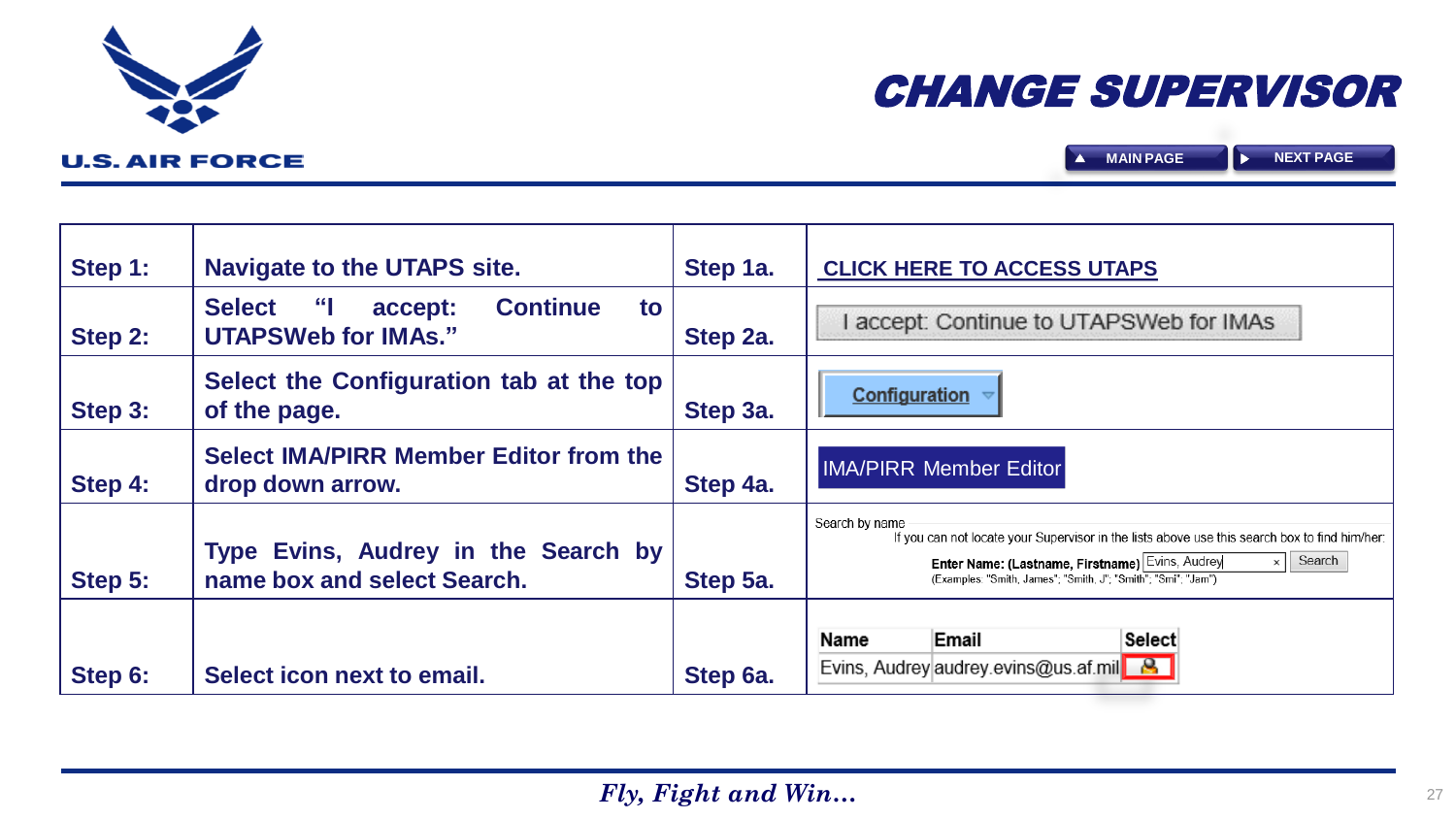# CHANGE SUPERVISOR

**A** [MAIN PAGE](#page-0-0) **P** 

<span id="page-26-0"></span>

| Step 1: | <b>Navigate to the UTAPS site.</b>                                                               | Step 1a. | <b>CLICK HERE TO ACCESS UTAPS</b>                                                                                                                                                                                                                             |  |
|---------|--------------------------------------------------------------------------------------------------|----------|---------------------------------------------------------------------------------------------------------------------------------------------------------------------------------------------------------------------------------------------------------------|--|
| Step 2: | $\mathcal{L}$<br><b>Continue</b><br><b>Select</b><br>to<br>accept:<br><b>UTAPSWeb for IMAs."</b> | Step 2a. | I accept: Continue to UTAPSWeb for IMAs                                                                                                                                                                                                                       |  |
| Step 3: | Select the Configuration tab at the top<br>of the page.                                          | Step 3a. | Configuration                                                                                                                                                                                                                                                 |  |
| Step 4: | <b>Select IMA/PIRR Member Editor from the</b><br>drop down arrow.                                | Step 4a. | <b>IMA/PIRR Member Editor</b>                                                                                                                                                                                                                                 |  |
| Step 5: | Type Evins, Audrey in the Search by<br>name box and select Search.                               | Step 5a. | Search by name<br>If you can not locate your Supervisor in the lists above use this search box to find him/her:<br>Search<br>Enter Name: (Lastname, Firstname) Evins, Audrey<br>$\times$    <br>(Examples: "Smith, James"; "Smith, J"; "Smith"; "Smi"; "Jam") |  |
| Step 6: | Select icon next to email.                                                                       | Step 6a. | Email<br><b>Select</b><br>Name<br>Evins, Audrey audrey evins@us.af.mil <b>8</b>                                                                                                                                                                               |  |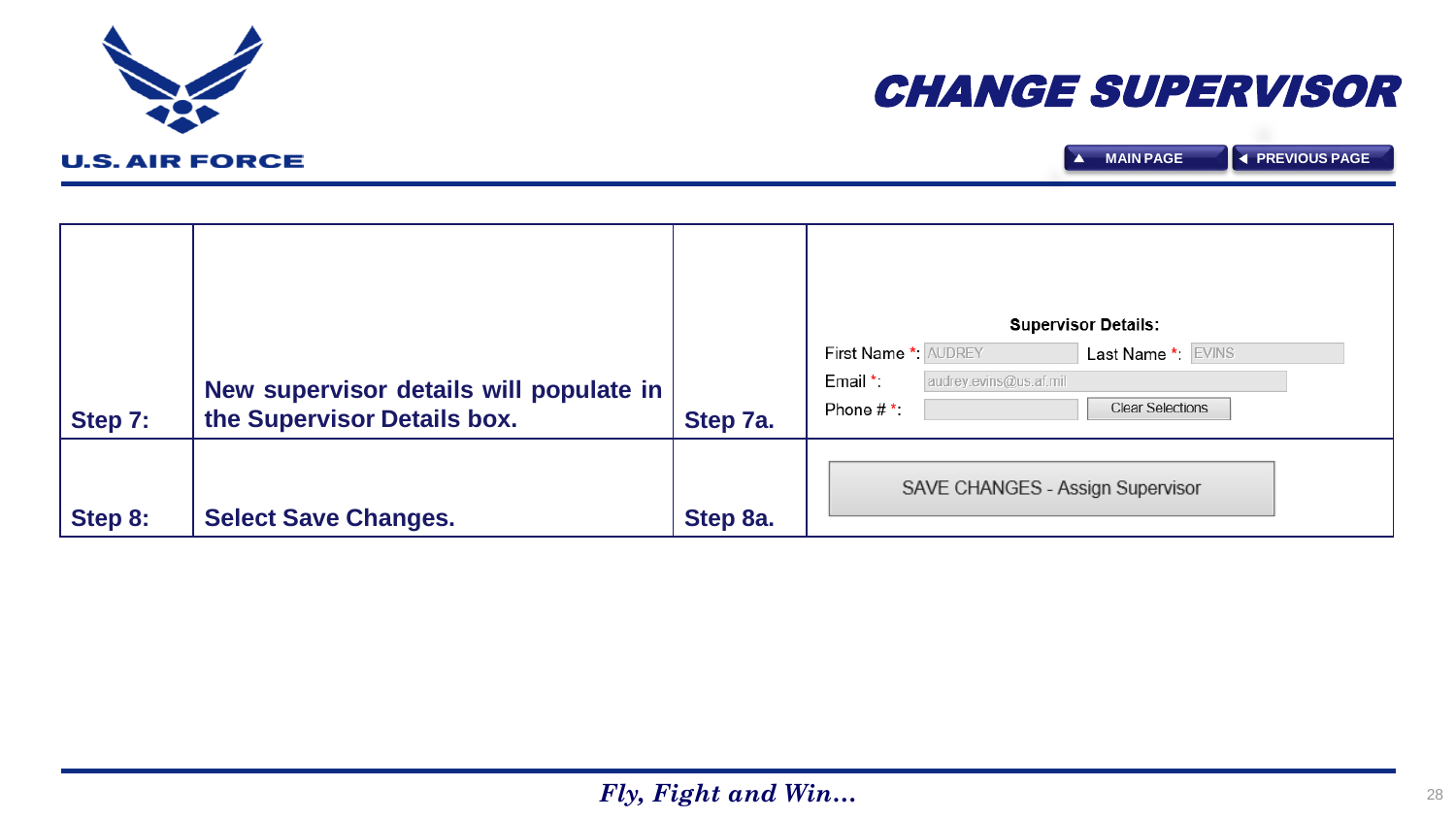<span id="page-27-0"></span>



| Step 7: | New supervisor details will populate in<br>the Supervisor Details box. | Step 7a. | <b>Supervisor Details:</b><br>First Name *: AUDREY<br>Last Name *: EVINS<br>audrey.evins@us.af.mil<br>Email *<br>Clear Selections<br>Phone $#^*$ : |
|---------|------------------------------------------------------------------------|----------|----------------------------------------------------------------------------------------------------------------------------------------------------|
| Step 8: | <b>Select Save Changes.</b>                                            | Step 8a. | SAVE CHANGES - Assign Supervisor                                                                                                                   |